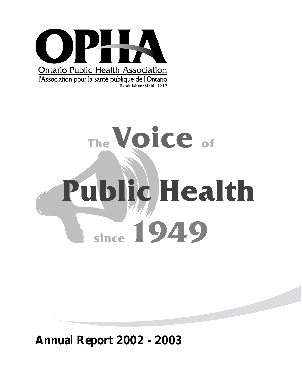

l'Association pour la santé publique de l'Ontario Established/Établi 1949

# Public<br>Since 19 **The Voice of Public Health** since 1949

### **Annual Report 2002 - 2003**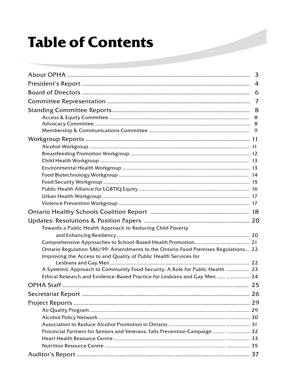## **Table of Contents**

|                                                                                   | 3 |
|-----------------------------------------------------------------------------------|---|
|                                                                                   | 4 |
|                                                                                   | 6 |
|                                                                                   | 7 |
|                                                                                   | 8 |
|                                                                                   | 8 |
|                                                                                   | 8 |
|                                                                                   |   |
|                                                                                   |   |
|                                                                                   |   |
|                                                                                   |   |
|                                                                                   |   |
|                                                                                   |   |
|                                                                                   |   |
|                                                                                   |   |
|                                                                                   |   |
|                                                                                   |   |
|                                                                                   |   |
|                                                                                   |   |
|                                                                                   |   |
| Towards a Public Health Approach to Reducing Child Poverty                        |   |
|                                                                                   |   |
|                                                                                   |   |
| Ontario Regulation 586/99: Amendments to the Ontario Food Premises Regulations 22 |   |
| Improving the Access to and Quality of Public Health Services for                 |   |
|                                                                                   |   |
| A Systemic Approach to Community Food Security: A Role for Public Health  23      |   |
| Ethical Research and Evidence-Based Practice for Lesbians and Gay Men   24        |   |
|                                                                                   |   |
|                                                                                   |   |
|                                                                                   |   |
|                                                                                   |   |
|                                                                                   |   |
|                                                                                   |   |
| Provincial Partners for Seniors and Veterans: Falls Prevention Campaign   32      |   |
|                                                                                   |   |
|                                                                                   |   |
|                                                                                   |   |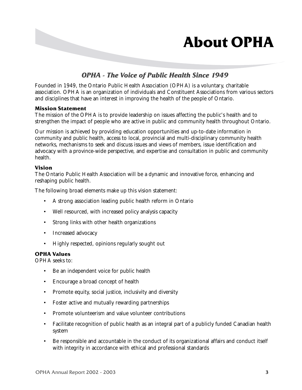## **About OPHA**

### *OPHA - The Voice of Public Health Since 1949*

Founded in 1949, the Ontario Public Health Association (OPHA) is a voluntary, charitable association. OPHA is an organization of individuals and Constituent Associations from various sectors and disciplines that have an interest in improving the health of the people of Ontario.

### **Mission Statement**

The mission of the OPHA is to provide leadership on issues affecting the public's health and to strengthen the impact of people who are active in public and community health throughout Ontario.

Our mission is achieved by providing education opportunities and up-to-date information in community and public health, access to local, provincial and multi-disciplinary community health networks, mechanisms to seek and discuss issues and views of members, issue identification and advocacy with a province-wide perspective, and expertise and consultation in public and community health.

### **Vision**

The Ontario Public Health Association will be a dynamic and innovative force, enhancing and reshaping public health.

The following broad elements make up this vision statement:

- A strong association leading public health reform in Ontario
- Well resourced, with increased policy analysis capacity
- Strong links with other health organizations
- Increased advocacy
- Highly respected, opinions regularly sought out

### **OPHA Values**

OPHA seeks to:

- Be an independent voice for public health
- Encourage a broad concept of health
- Promote equity, social justice, inclusivity and diversity
- Foster active and mutually rewarding partnerships
- Promote volunteerism and value volunteer contributions
- Facilitate recognition of public health as an integral part of a publicly funded Canadian health system
- Be responsible and accountable in the conduct of its organizational affairs and conduct itself with integrity in accordance with ethical and professional standards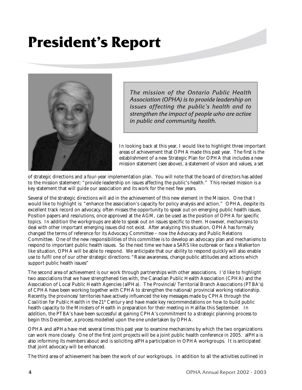## **President's Report**



*The mission of the Ontario Public Health Association (OPHA) is to provide leadership on issues affecting the public's health and to strengthen the impact of people who are active in public and community health.*

In looking back at this year, I would like to highlight three important areas of achievement that OPHA made this past year. The first is the establishment of a new Strategic Plan for OPHA that includes a new mission statement (see above), a statement of vision and values, a set

of strategic directions and a four-year implementation plan. You will note that the board of directors has added to the mission statement: "provide leadership on issues affecting the public's health." This revised mission is a key statement that will guide our association and its work for the next few years.

Several of the strategic directions will aid in the achievement of this new element in the Mission. One that I would like to highlight is: "enhance the association's capacity for policy analysis and action." OPHA, despite its excellent track record on advocacy, often misses the opportunity to speak out on emerging public health issues. Position papers and resolutions, once approved at the AGM, can be used as the position of OPHA for specific topics. In addition the workgroups are able to speak out on issues specific to them. However, mechanisms to deal with other important emerging issues did not exist. After analyzing this situation, OPHA has formally changed the terms of reference for its Advocacy Committee – now the Advocacy and Public Relations Committee. One of the new responsibilities of this committee is to develop an advocacy plan and mechanisms to respond to important public health issues. So the next time we have a SARS like outbreak or face a Walkerton like situation, OPHA will be able to respond. We anticipate that our ability to respond quickly will also enable use to fulfil one of our other strategic directions: "Raise awareness, change public attitudes and actions which support public health issues"

The second area of achievement is our work through partnerships with other associations. I'd like to highlight two associations that we have strengthened ties with, the Canadian Public Health Association (CPHA) and the Association of Local Public Health Agencies (alPHa). The Provincial/Territorial Branch Associations (PTBA's) of CPHA have been working together with CPHA to strengthen the national/provincial working relationship. Recently, the provinces/territories have actively influenced the key messages made by CPHA through the *Coalition for Public Health in the 21<sup>st</sup> Century* and have made key recommendations on how to build public health capacity to the Ministers of Health in preparation for their meeting in Halifax this September. In addition, the PTBA's have been successful at gaining CPHA's commitment to a strategic planning process to begin this December, a process modelled upon the one undertaken by OPHA.

OPHA and alPHa have met several times this past year to examine mechanisms by which the two organizations can work more closely. One of the first joint projects will be a joint public health conference in 2005. alPHa is also informing its members about and is soliciting alPHa participation in OPHA workgroups. It is anticipated that joint advocacy will be enhanced.

The third area of achievement has been the work of our workgroups. In addition to all the activities outlined in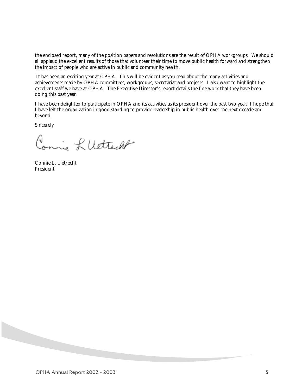the enclosed report, many of the position papers and resolutions are the result of OPHA workgroups. We should all applaud the excellent results of those that volunteer their time to move public health forward and strengthen the impact of people who are active in public and community health.

 It has been an exciting year at OPHA. This will be evident as you read about the many activities and achievements made by OPHA committees, workgroups, secretariat and projects. I also want to highlight the excellent staff we have at OPHA. The Executive Director's report details the fine work that they have been doing this past year.

I have been delighted to participate in OPHA and its activities as its president over the past two year. I hope that I have left the organization in good standing to provide leadership in public health over the next decade and beyond.

Sincerely,

Conris LUCTERA

Connie L. Uetrecht President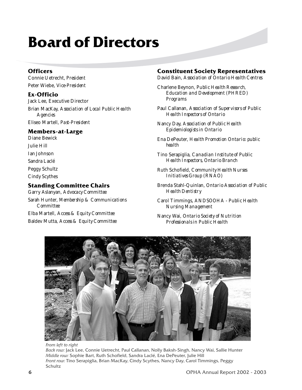## **Board of Directors**

### **Officers**

Connie Uetrecht, *President* Peter Wiebe, *Vice-President*

### **Ex-Officio**

Jack Lee, Executive Director Brian MacKay, *Association of Local Public Health Agencies* Eliseo Martell, *Past-President*

### **Members-at-Large**

Diane Bewick Julie Hill Ian Johnson Sandra Laclé Peggy Schultz Cindy Scythes

### **Standing Committee Chairs**

Garry Aslanyan, *Advocacy Committee* Sarah Hunter, *Membership & Communications Committee* Elba Martell, *Access & Equity Committee*

Baldev Mutta, *Access & Equity Committee*

### **Constituent Society Representatives**

David Bain, *Association of Ontario Health Centres*

Charlene Beynon, *Public Health Research, Education and Development (PHRED) Programs*

Paul Callanan, *Association of Supervisors of Public Health Inspectors of Ontario*

Nancy Day, *Association of Public Health Epidemiologists in Ontario*

Ena DePeuter, *Health Promotion Ontario: public health*

Tino Serapiglia, *Canadian Institute of Public Health Inspectors, Ontario Branch*

Ruth Schofield, *Community Health Nurses Initiatives Group (RNAO)*

Brenda Stahl-Quinlan, *Ontario Association of Public Health Dentistry*

Carol Timmings, *ANDSOOHA - Public Health Nursing Management*

Nancy Wai, *Ontario Society of Nutrition Professionals in Public Health*



*From left to right Back row:* Jack Lee, Connie Uetrecht, Paul Callanan, Nolly Baksh-Singh, Nancy Wai, Sallie Hunter *Middle row:* Sophie Bart, Ruth Schofield, Sandra Laclé, Ena DePeuter, Julie Hill *Front row:* Tino Serapiglia, Brian MacKay, Cindy Scythes, Nancy Day, Carol Timmings, Peggy Schultz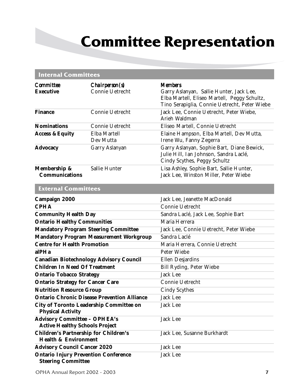## **Committee Representation**

### **Internal Committees**

| <b>Committee</b><br><b>Executive</b>                                            | Chairperson(s)<br>Connie Uetrecht                  | <b>Members</b><br>Garry Aslanyan, Sallie Hunter, Jack Lee,<br>Elba Martell, Eliseo Martell, Peggy Schultz,<br>Tino Serapiglia, Connie Uetrecht, Peter Wiebe |  |  |
|---------------------------------------------------------------------------------|----------------------------------------------------|-------------------------------------------------------------------------------------------------------------------------------------------------------------|--|--|
| <b>Finance</b>                                                                  | Connie Uetrecht                                    | Jack Lee, Connie Uetrecht, Peter Wiebe,<br>Arieh Waldman                                                                                                    |  |  |
| <b>Nominations</b>                                                              | Connie Uetrecht                                    | Eliseo Martell, Connie Uetrecht                                                                                                                             |  |  |
| <b>Access &amp; Equity</b>                                                      | Elba Martell<br>Dev Mutta                          | Elaine Hampson, Elba Martell, Dev Mutta,<br>Irene Wu, Fanny Zegerra                                                                                         |  |  |
| <b>Advocacy</b>                                                                 | Garry Aslanyan                                     | Garry Aslanyan, Sophie Bart, Diane Bewick,<br>Julie Hill, Ian Johnson, Sandra Laclé,<br>Cindy Scythes, Peggy Schultz                                        |  |  |
| Membership &<br><b>Communications</b>                                           | Sallie Hunter                                      | Lisa Ashley, Sophie Bart, Sallie Hunter,<br>Jack Lee, Winston Miller, Peter Wiebe                                                                           |  |  |
| <b>External Committees</b>                                                      |                                                    |                                                                                                                                                             |  |  |
| Campaign 2000                                                                   |                                                    | Jack Lee, Jeanette MacDonald                                                                                                                                |  |  |
| <b>CPHA</b>                                                                     |                                                    | Connie Uetrecht                                                                                                                                             |  |  |
| <b>Community Health Day</b>                                                     |                                                    | Sandra Laclé, Jack Lee, Sophie Bart                                                                                                                         |  |  |
| <b>Ontario Healthy Communities</b>                                              |                                                    | Maria Herrera                                                                                                                                               |  |  |
| <b>Mandatory Program Steering Committee</b>                                     |                                                    | Jack Lee, Connie Uetrecht, Peter Wiebe                                                                                                                      |  |  |
|                                                                                 | <b>Mandatory Program Measurement Workgroup</b>     | Sandra Laclé                                                                                                                                                |  |  |
| <b>Centre for Health Promotion</b>                                              |                                                    | Maria Herrera, Connie Uetrecht                                                                                                                              |  |  |
| alPHa                                                                           |                                                    | Peter Wiebe                                                                                                                                                 |  |  |
| <b>Canadian Biotechnology Advisory Council</b>                                  |                                                    | Ellen Desjardins                                                                                                                                            |  |  |
| <b>Children In Need Of Treatment</b>                                            |                                                    | Bill Ryding, Peter Wiebe                                                                                                                                    |  |  |
| <b>Ontario Tobacco Strategy</b>                                                 |                                                    | <b>Jack Lee</b>                                                                                                                                             |  |  |
| <b>Ontario Strategy for Cancer Care</b>                                         |                                                    | Connie Uetrecht                                                                                                                                             |  |  |
| <b>Nutrition Resource Group</b>                                                 |                                                    | <b>Cindy Scythes</b>                                                                                                                                        |  |  |
|                                                                                 | <b>Ontario Chronic Disease Prevention Alliance</b> | <b>Jack Lee</b>                                                                                                                                             |  |  |
| <b>City of Toronto Leadership Committee on</b><br><b>Physical Activity</b>      |                                                    | Jack Lee                                                                                                                                                    |  |  |
| <b>Advisory Committee - OPHEA's</b><br><b>Active Healthy Schools Project</b>    |                                                    | Jack Lee                                                                                                                                                    |  |  |
| <b>Children's Partnership for Children's</b><br><b>Health &amp; Environment</b> |                                                    | Jack Lee, Susanne Burkhardt                                                                                                                                 |  |  |
| <b>Advisory Council Cancer 2020</b>                                             |                                                    | Jack Lee                                                                                                                                                    |  |  |
| <b>Ontario Injury Prevention Conference</b><br><b>Steering Committee</b>        |                                                    | <b>Jack Lee</b>                                                                                                                                             |  |  |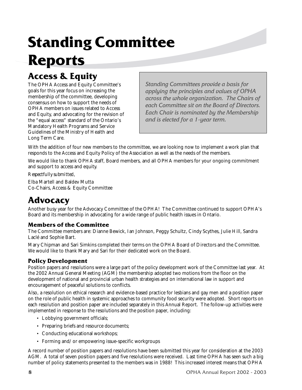## **Standing Committee Reports**

### **Access & Equity**

The OPHA Access and Equity Committee's goals for this year focus on increasing the membership of the committee, developing consensus on how to support the needs of OPHA members on issues related to Access and Equity, and advocating for the revision of the "equal access" standard of the Ontario's Mandatory Health Programs and Service Guidelines of the Ministry of Health and Long Term Care.

*Standing Committees provide a basis for applying the principles and values of OPHA across the whole organization. The Chairs of each Committee sit on the Board of Directors. Each Chair is nominated by the Membership and is elected for a 1-year term.*

With the addition of four new members to the committee, we are looking now to implement a work plan that responds to the Access and Equity Policy of the Association as well as the needs of the members.

We would like to thank OPHA staff, Board members, and all OPHA members for your ongoing commitment and support to access and equity.

*Respectfully submitted*,

Elba Martell and Baldev Mutta Co-Chairs, Access & Equity Committee

### **Advocacy**

Another busy year for the Advocacy Committee of the OPHA! The Committee continued to support OPHA's Board and its membership in advocating for a wide range of public health issues in Ontario.

### **Members of the Committee**

The Committee members are: Dianne Bewick, Ian Johnson, Peggy Schultz, Cindy Scythes, Julie Hill, Sandra Laclé and Sophie Bart.

Mary Chipman and Sari Simkins completed their terms on the OPHA Board of Directors and the Committee. We would like to thank Mary and Sari for their dedicated work on the Board.

### **Policy Development**

Position papers and resolutions were a large part of the policy development work of the Committee last year. At the 2002 Annual General Meeting (AGM) the membership adopted two motions from the floor on the development of national and provincial urban health strategies and on international law in support and encouragement of peaceful solutions to conflicts.

Also, a resolution on ethical research and evidence-based practice for lesbians and gay men and a position paper on the role of public health in systemic approaches to community food security were adopted. Short reports on each resolution and position paper are included separately in this Annual Report. The follow-up activities were implemented in response to the resolutions and the position paper, including:

- Lobbying government officials;
- Preparing briefs and resource documents;
- Conducting educational workshops;
- Forming and/or empowering issue-specific workgroups

A record number of position papers and resolutions have been submitted this year for consideration at the 2003 AGM. A total of seven position papers and five resolutions were received. Last time OPHA has seen such a big number of policy statements presented to the members was in 1988! This increased interest means that OPHA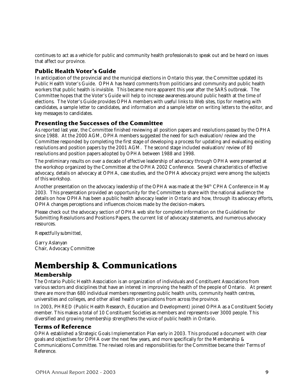continues to act as a vehicle for public and community health professionals to speak out and be heard on issues that affect our province.

### **Public Health Voter's Guide**

In anticipation of the provincial and the municipal elections in Ontario this year, the Committee updated its Public Health Voter's Guide. OPHA has heard comments from politicians and community and public health workers that public health is invisible. This became more apparent this year after the SARS outbreak. The Committee hopes that the Voter's Guide will help to increase awareness around public health at the time of elections. The Voter's Guide provides OPHA members with useful links to Web sites, tips for meeting with candidates, a sample letter to candidates, and information and a sample letter on writing letters to the editor, and key messages to candidates.

### **Presenting the Successes of the Committee**

As reported last year, the Committee finished reviewing all position papers and resolutions passed by the OPHA since 1988. At the 2000 AGM, OPHA members suggested the need for such evaluation/review and the Committee responded by completing the first stage of developing a process for updating and evaluating existing resolutions and position papers by the 2001 AGM. The second stage included evaluation/review of 80 resolutions and position papers adopted by OPHA between 1988 and 1998.

The preliminary results on over a decade of effective leadership of advocacy through OPHA were presented at the workshop organized by the Committee at the OPHA 2002 Conference. Several characteristics of effective advocacy, details on advocacy at OPHA, case studies, and the OPHA advocacy project were among the subjects of this workshop.

Another presentation on the advocacy leadership of the OPHA was made at the 94<sup>th</sup> CPHA Conference in May 2003. This presentation provided an opportunity for the Committee to share with the national audience the details on how OPHA has been a public health advocacy leader in Ontario and how, through its advocacy efforts, OPHA changes perceptions and influences choices made by the decision-makers.

Please check out the advocacy section of OPHA web site for complete information on the Guidelines for Submitting Resolutions and Positions Papers, the current list of advocacy statements, and numerous advocacy resources.

#### *Respectfully submitted*,

Garry Aslanyan Chair, Advocacy Committee

### **Membership & Communications**

### **Membership**

The Ontario Public Health Association is an organization of individuals and Constituent Associations from various sectors and disciplines that have an interest in improving the health of the people of Ontario. At present there are more than 680 individual members representing public health units, community health centres, universities and colleges, and other allied health organizations from across the province.

In 2003, PHRED (Public Health Research, Education and Development) joined OPHA as a Constituent Society member. This makes a total of 10 Constituent Societies as members and represents over 3000 people. This diversified and growing membership strengthens the voice of public health in Ontario.

### **Terms of Reference**

OPHA established a Strategic Goals Implementation Plan early in 2003. This produced a document with clear goals and objectives for OPHA over the next few years, and more specifically for the Membership & Communications Committee. The revised roles and responsibilities for the Committee became their Terms of Reference.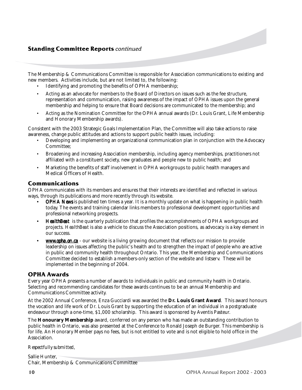### **Standing Committee Reports** *continued*

The Membership & Communications Committee is responsible for Association communications to existing and new members. Activities include, but are not limited to, the following:

- Identifying and promoting the benefits of OPHA membership;
- Acting as an advocate for members to the Board of Directors on issues such as the fee structure, representation and communication, raising awareness of the impact of OPHA issues upon the general membership and helping to ensure that Board decisions are communicated to the membership; and
- Acting as the Nomination Committee for the OPHA annual awards (Dr. Louis Grant, Life Membership and Honorary Membership awards).

Consistent with the 2003 Strategic Goals Implementation Plan, the Committee will also take actions to raise awareness, change public attitudes and actions to support public health issues, including:

- Developing and implementing an organizational communication plan in conjunction with the Advocacy Committee;
- Broadening and increasing Association membership, including agency memberships, practitioners not affiliated with a constituent society, new graduates and people new to public health; and
- Marketing the benefits of staff involvement in OPHA workgroups to public health managers and Medical Officers of Health.

### **Communications**

OPHA communicates with its members and ensures that their interests are identified and reflected in various ways, through its publications and more recently through its website.

- *OPHA News* is published ten times a year. It is a monthly update on what is happening in public health today. The events and training calendar links members to professional development opportunities and professional networking prospects.
- *HealthBeat* is the quarterly publication that profiles the accomplishments of OPHA workgroups and projects. *HealthBeat* is also a vehicle to discuss the Association positions, as advocacy is a key element in our success.
- *www.opha.on.ca* our website is a living growing document that reflects our mission to provide leadership on issues affecting the public's health and to strengthen the impact of people who are active in public and community health throughout Ontario. This year, the Membership and Communications Committee decided to establish a members-only section of the website and listserv. These will be implemented in the beginning of 2004.

### **OPHA Awards**

Every year OPHA presents a number of awards to individuals in public and community health in Ontario. Selecting and recommending candidates for these awards continues to be an annual Membership and Communications Committee activity.

At the 2002 Annual Conference, Enza Gucciardi was awarded the **Dr. Louis Grant Award**. This award honours the vocation and life work of Dr. Louis Grant by supporting the education of an individual in a postgraduate endeavour through a one-time, \$1,000 scholarship. This award is sponsored by Aventis Pasteur.

The **Honourary Membership** award, conferred on any person who has made an outstanding contribution to public health in Ontario, was also presented at the Conference to Ronald Joseph de Burger. This membership is for life. An Honorary Member pays no fees, but is not entitled to vote and is not eligible to hold office in the Association.

#### *Respectfully submitted*,

Sallie Hunter, Chair, Membership & Communications Committee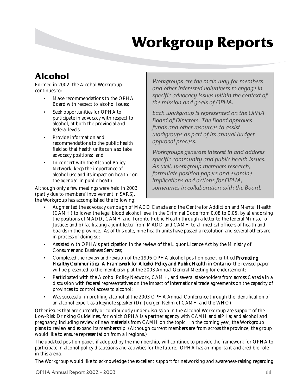## **Workgroup Reports**

### **Alcohol**

Formed in 2002, the Alcohol Workgroup continues to:

- Make recommendations to the OPHA Board with respect to alcohol issues;
- Seek opportunities for OPHA to participate in advocacy with respect to alcohol, at both the provincial and federal levels;
- Provide information and recommendations to the public health field so that health units can also take advocacy positions; and
- In concert with the Alcohol Policy Network, keep the importance of alcohol use and its impact on health "on the agenda" in public health.

Although only a few meetings were held in 2003 (partly due to members' involvement in SARS), the Workgroup has accomplished the following:

*Workgroups are the main way for members and other interested volunteers to engage in specific advocacy issues within the context of the mission and goals of OPHA.*

*Each workgroup is represented on the OPHA Board of Directors. The Board approves funds and other resources to assist workgroups as part of its annual budget approval process.*

*Workgroups generate interest in and address specific community and public health issues. As well, workgroup members research, formulate position papers and examine implications and actions for OPHA, sometimes in collaboration with the Board.*

- Augmented the advocacy campaign of MADD Canada and the Centre for Addiction and Mental Health (CAMH) to lower the legal blood alcohol level in the Criminal Code from 0.08 to 0.05, by a) endorsing the positions of MADD, CAMH and Toronto Public Health through a letter to the federal Minister of Justice; and b) facilitating a joint letter from MADD and CAMH to all medical officers of health and boards in the province. As of this date, nine health units have passed a resolution and several others are in process of doing so;
- Assisted with OPHA's participation in the review of the Liquor Licence Act by the Ministry of Consumer and Business Services;
- Completed the review and revision of the 1996 OPHA alcohol position paper, entitled *Promoting Healthy Communities: A Framework for Alcohol Policy and Public Health in Ontario*; the revised paper will be presented to the membership at the 2003 Annual General Meeting for endorsement;
- Participated with the Alcohol Policy Network, CAMH, and several stakeholders from across Canada in a discussion with federal representatives on the impact of international trade agreements on the capacity of provinces to control access to alcohol;
- Was successful in profiling alcohol at the 2003 OPHA Annual Conference through the identification of an alcohol expert as a keynote speaker (Dr. Juergen Rehm of CAMH and the WHO).

Other issues that are currently or continuously under discussion in the Alcohol Workgroup are support of the Low-Risk Drinking Guidelines, for which OPHA is a partner agency with CAMH and alPHa; and alcohol and pregnancy, including review of new materials from CAMH on the topic. In the coming year, the Workgroup plans to review and expand its membership. (Although current members are from across the province, the group would like to ensure representation from all regions.)

The updated position paper, if adopted by the membership, will continue to provide the framework for OPHA to participate in alcohol policy discussions and activities for the future. OPHA has an important and credible role in this arena.

The Workgroup would like to acknowledge the excellent support for networking and awareness-raising regarding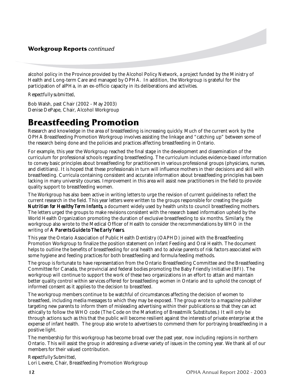alcohol policy in the Province provided by the Alcohol Policy Network, a project funded by the Ministry of Health and Long-term Care and managed by OPHA. In addition, the Workgroup is grateful for the participation of alPHa, in an ex-officio capacity in its deliberations and activities.

#### *Respectfully submitted,*

Bob Walsh, past Chair (2002 - May 2003) Denise DePape, Chair, Alcohol Workgroup

### **Breastfeeding Promotion**

Research and knowledge in the area of breastfeeding is increasing quickly. Much of the current work by the OPHA Breastfeeding Promotion Workgroup involves assisting the linkage and "catching up" between some of the research being done and the policies and practices affecting breastfeeding in Ontario.

For example, this year the Workgroup reached the final stage in the development and dissemination of the curriculum for professional schools regarding breastfeeding. The curriculum includes evidence-based information to convey basic principles about breastfeeding for practitioners in various professional groups (physicians, nurses, and dietitians). It is hoped that these professionals in turn will influence mothers in their decisions and skill with breastfeeding. Curricula containing consistent and accurate information about breastfeeding principles has been lacking in many university courses. Improvement in this area will assist new practitioners in the field to provide quality support to breastfeeding women.

The Workgroup has also been active in writing letters to urge the revision of current guidelines to reflect the current research in the field. This year letters were written to the groups responsible for creating the guide *Nutrition for Healthy Term Infants, a document widely used by health units to council breastfeeding mothers.* The letters urged the groups to make revisions consistent with the research based information upheld by the World Health Organization promoting the duration of exclusive breastfeeding to six months. Similarly, the workgroup also wrote to the Medical Officer of Health to consider the recommendations by WHO in the writing of *A Parents Guide to The Early Years.*

This year the Ontario Association of Public Health Dentistry (OAPHD) joined with the Breastfeeding Promotion Workgroup to finalize the position statement on Infant Feeding and Oral Health. The document helps to outline the benefits of breastfeeding for oral health and to advise parents of risk factors associated with some hygiene and feeding practices for both breastfeeding and formula feeding methods.

The group is fortunate to have representation from the Ontario Breastfeeding Committee and the Breastfeeding Committee for Canada, the provincial and federal bodies promoting the Baby Friendly Initiative (BFI). The workgroup will continue to support the work of these two organizations in an effort to attain and maintain better quality control within services offered for breastfeeding women in Ontario and to uphold the concept of informed consent as it applies to the decision to breastfeed.

The workgroup members continue to be watchful of circumstances affecting the decision of women to breastfeed, including media messages to which they may be exposed. The group wrote to a magazine publisher targeting new parents to inform them of misleading advertising within their publications so that they can act ethically to follow the WHO code (The Code on the Marketing of Breastmilk Substitutes.) It will only be through actions such as this that the public will become resilient against the interests of private enterprise at the expense of infant health. The group also wrote to advertisers to commend them for portraying breastfeeding in a positive light.

The membership for this workgroup has become broad over the past year, now including regions in northern Ontario. This will assist the group in addressing a diverse variety of issues in the coming year. We thank all of our members for their valued contribution.

*Respectfully Submitted*, Lori Levere, Chair, Breastfeeding Promotion Workgroup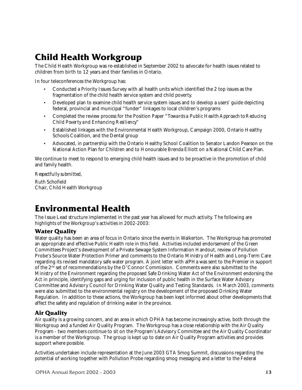### **Child Health Workgroup**

The Child Health Workgroup was re-established in September 2002 to advocate for health issues related to children from birth to 12 years and their families in Ontario.

In four teleconferences the Workgroup has:

- Conducted a Priority Issues Survey with all health units which identified the 2 top issues as the fragmentation of the child health service system and child poverty.
- Developed plan to examine child health service system issues and to develop a users' guide depicting federal, provincial and municipal "funder" linkages to local children's programs
- Completed the review process for the Position Paper "*Towards a Public Health Approach to Reducing Child Poverty and Enhancing Resiliency"*
- Established linkages with the Environmental Health Workgroup, Campaign 2000, Ontario Healthy Schools Coalition, and the Dental group
- Advocated, in partnership with the Ontario Healthy School Coalition to Senator Landon Pearson on the National Action Plan for Children and to Honourable Brenda Elliott on a National Child Care Plan.

We continue to meet to respond to emerging child health issues and to be proactive in the promotion of child and family health.

*Respectfully submitted,*

Ruth Schofield Chair, Child Health Workgroup

### **Environmental Health**

The Issue Lead structure implemented in the past year has allowed for much activity. The following are highlights of the Workgroup's activities in 2002-2003:

### **Water Quality**

Water quality has been an area of focus in Ontario since the events in Walkerton. The Workgroup has promoted an appropriate and effective Public Health role in this field. Activities included endorsement of the Green Committees Project's development of a Private Sewage System Information Handout, review of Pollution Probe's Source Water Protection Primer and comments to the Ontario Ministry of Health and Long-Term Care regarding its revised mandatory safe water program. A joint letter with alPHa was sent to the Premier in support of the 2nd set of recommendations by the O'Connor Commission. Comments were also submitted to the Ministry of the Environment regarding the proposed Safe Drinking Water Act of the Environment endorsing the Act in principle, identifying gaps and urging for inclusion of public health in the Surface Water Advisory Committee and Advisory Council for Drinking Water Quality and Testing Standards. In March 2003, comments were also submitted to the environmental registry on the development of the proposed Drinking Water Regulation. In addition to these actions, the Workgroup has been kept informed about other developments that affect the safety and regulation of drinking water in the province.

### **Air Quality**

Air quality is a growing concern, and an area in which OPHA has become increasingly active, both through the Workgroup and a funded Air Quality Program. The Workgroup has a close relationship with the Air Quality Program - two members continue to sit on the Program's Advisory Committee and the Air Quality Coordinator is a member of the Workgroup. The group is kept up to date on Air Quality Program activities and provides support where possible.

Activities undertaken include representation at the June 2003 GTA Smog Summit, discussions regarding the potential of working together with Pollution Probe regarding smog messaging and a letter to the Federal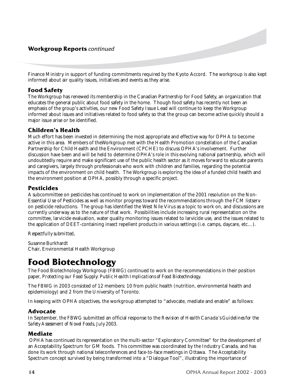### **Workgroup Reports** *continued*

Finance Ministry in support of funding commitments required by the Kyoto Accord. The workgroup is also kept informed about air quality issues, initiatives and events as they arise.

### **Food Safety**

The Workgroup has renewed its membership in the Canadian Partnership for Food Safety, an organization that educates the general public about food safety in the home. Though food safety has recently not been an emphasis of the group's activities, our new Food Safety Issue Lead will continue to keep the Workgroup informed about issues and initiatives related to food safety so that the group can become active quickly should a major issue arise or be identified.

### **Children's Health**

Much effort has been invested in determining the most appropriate and effective way for OPHA to become active in this area. Members of theWorkgroup met with the Health Promotion constellation of the Canadian Partnership for Child Health and the Environment (CPCHE) to discuss OPHA's involvement. Further discussion have been and will be held to determine OPHA's role in this evolving national partnership, which will undoubtedly require and make significant use of the public health sector as it moves forward to educate parents and caregivers, largely through professionals who work with children and families, regarding the potential impacts of the environment on child health. The Workgroup is exploring the idea of a funded child health and the environment position at OPHA, possibly through a specific project.

### **Pesticides**

A subcommittee on pesticides has continued to work on implementation of the 2001 resolution on the Non-Essential Use of Pesticides as well as monitor progress toward the recommendations through the FCM listserv on pesticide reductions. The group has identified the West Nile Virus as a topic to work on, and discussions are currently underway as to the nature of that work. Possibilities include increasing rural representation on the committee, larvicide evaluation, water quality monitoring issues related to larvicide use, and the issues related to the application of DEET-containing insect repellent products in various settings (i.e. camps, daycare, etc…).

*Respectfully submitted,*

Susanne Burkhardt Chair, Environmental Health Workgroup

### **Food Biotechnology**

The Food Biotechnology Workgroup (FBWG) continued to work on the recommendations in their position paper, *Protecting our Food Supply: Public Health Implications of Food Biotechnology*.

The FBWG in 2003 consisted of 12 members: 10 from public health (nutrition, environmental health and epidemiology) and 2 from the University of Toronto.

In keeping with OPHA objectives, the workgroup attempted to "advocate, mediate and enable" as follows:

### **Advocate**

In September, the FBWG submitted an official response to the *Revision of Health Canada's Guidelines for the Safety Assessment of Novel Foods, July 2003*.

### **Mediate**

 OPHA has continued its representation on the multi-sector "Exploratory Committee" for the development of an Acceptability Spectrum for GM foods. This committee was coordinated by the Industry Canada, and has done its work through national teleconferences and face-to-face meetings in Ottawa. The Acceptability Spectrum concept survived by being transformed into a "Dialogue Tool", illustrating the importance of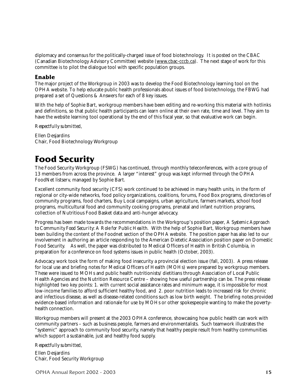diplomacy and consensus for the politically-charged issue of food biotechnology. It is posted on the CBAC (Canadian Biotechnology Advisory Committee) website (www.cbac-cccb.ca). The next stage of work for this committee is to pilot the dialogue tool with specific population groups.

#### **Enable**

The major project of the Workgroup in 2003 was to develop the Food Biotechnology learning tool on the OPHA website. To help educate public health professionals about issues of food biotechnology, the FBWG had prepared a set of Questions & Answers for each of 8 key issues.

With the help of Sophie Bart, workgroup members have been editing and re-working this material with hotlinks and definitions, so that public health participants can learn online at their own rate, time and level. They aim to have the website learning tool operational by the end of this fiscal year, so that evaluative work can begin.

*Respectfully submitted,*

Ellen Desjardins Chair, Food Biotechnology Workgroup

### **Food Security**

The Food Security Workgroup (FSWG) has continued, through monthly teleconferences, with a core group of 13 members from across the province. A larger "interest" group was kept informed through the OPHA FoodNet listserv, managed by Sophie Bart.

Excellent community food security (CFS) work continued to be achieved in many health units, in the form of regional or city-wide networks, food policy organizations, coalitions, forums, Food Box programs, directories of community programs, food charters, Buy Local campaigns, urban agriculture, farmers markets, school food programs, multicultural food and community cooking programs, prenatal and infant nutrition programs, collection of Nutritious Food Basket data and anti-hunger advocacy.

Progress has been made towards the recommendations in the Workgroup's position paper, *A Systemic Approach to Community Food Security: A Role for Public Health*. With the help of Sophie Bart, Workgroup members have been building the content of the Foodnet section of the OPHA website. The position paper has also led to our involvement in authoring an article responding to the American Dietetic Association position paper on Domestic Food Security. As well, the paper was distributed to Medical Officers of Health in British Columbia, in preparation for a conference on food systems issues in public health (October, 2003).

Advocacy work took the form of making food insecurity a provincial election issue (fall, 2003). A press release for local use and briefing notes for Medical Officers of Health (MOHs) were prepared by workgroup members. These were issued to MOHs and public health nutritionists/dietitians through Association of Local Public Health Agencies and the Nutrition Resource Centre – showing how useful partnership can be. The press release highlighted two key points: 1. with current social assistance rates and minimum wage, it is impossible for most low-income families to afford sufficient healthy food, and 2. poor nutrition leads to increased risk for chronic and infectious disease, as well as disease-related conditions such as low birth weight. The briefing notes provided evidence-based information and rationale for use by MOHs or other spokespeople wanting to make the povertyhealth connection.

Workgroup members will present at the 2003 OPHA conference, showcasing how public health can work with community partners – such as business people, farmers and environmentalists. Such teamwork illustrates the "systemic" approach to community food security, namely that healthy people result from healthy communities which support a sustainable, just and healthy food supply.

#### *Respectfully submitted,*

Ellen Desjardins Chair, Food Security Workgroup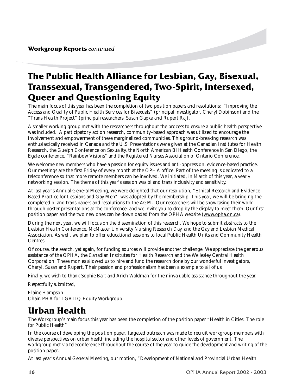### **The Public Health Alliance for Lesbian, Gay, Bisexual, Transsexual, Transgendered, Two-Spirit, Intersexed, Queer and Questioning Equity**

The main focus of this year has been the completion of two position papers and resolutions: "Improving the Access and Quality of Public Health Services for Bisexuals" (principal investigator, Cheryl Dobinson) and the "Trans Health Project" (principal researchers, Susan Gapka and Rupert Raj).

A smaller working group met with the researchers throughout the process to ensure a public health perspective was included. A participatory action research, community–based approach was utilized to encourage the involvement and empowerment of these marginalized communities. This ground-breaking research was enthusiastically received in Canada and the U.S. Presentations were given at the Canadian Institutes for Health Research, the Guelph Conference on Sexuality, the North American Bi Health Conference in San Diego, the Egale conference, "Rainbow Visions" and the Registered Nurses Association of Ontario Conference.

We welcome new members who have a passion for equity issues and anti-oppression, evidence-based practice. Our meetings are the first Friday of every month at the OPHA office. Part of the meeting is dedicated to a teleconference so that more remote members can be involved. We initiated, in March of this year, a yearly networking session. The theme of this year's session was bi and trans inclusivity and sensitivity.

At last year's Annual General Meeting, we were delighted that our resolution, "Ethical Research and Evidence Based Practice for Lesbians and Gay Men" was adopted by the membership. This year, we will be bringing the completed bi and trans papers and resolutions to the AGM. Our researchers will be showcasing their work through poster presentations at the conference, and we invite you to drop by the display to meet them. Our first position paper and the two new ones can be downloaded from the OPHA website (www.opha.on.ca).

During the next year, we will focus on the dissemination of this research. We hope to submit abstracts to the Lesbian Health Conference, McMaster University Nursing Research Day, and the Gay and Lesbian Medical Association. As well, we plan to offer educational sessions to local Public Health Units and Community Health Centres.

Of course, the search, yet again, for funding sources will provide another challenge. We appreciate the generous assistance of the OPHA, the Canadian Institutes for Health Research and the Wellesley Central Health Corporation. These monies allowed us to hire and fund the research done by our wonderful investigators, Cheryl, Susan and Rupert. Their passion and professionalism has been a example to all of us.

Finally, we wish to thank Sophie Bart and Arieh Waldman for their invaluable assistance throughout the year.

#### *Respectfully submitted,*

Elaine Hampson Chair, PHA for LGBTIQ Equity Workgroup

### **Urban Health**

The Workgroup's main focus this year has been the completion of the position paper "Health in Cities: The role for Public Health".

In the course of developing the position paper, targeted outreach was made to recruit workgroup members with diverse perspectives on urban health including the hospital sector and other levels of government. The workgroup met via teleconference throughout the course of the year to guide the development and writing of the position paper.

At last year's Annual General Meeting, our motion, "Development of National and Provincial Urban Health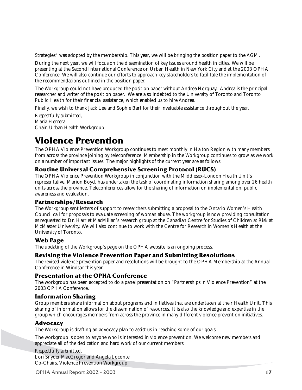Strategies" was adopted by the membership. This year, we will be bringing the position paper to the AGM.

During the next year, we will focus on the dissemination of key issues around health in cities. We will be presenting at the Second International Conference on Urban Health in New York City and at the 2003 OPHA Conference. We will also continue our efforts to approach key stakeholders to facilitate the implementation of the recommendations outlined in the position paper.

The Workgroup could not have produced the position paper without Andrea Norquay. Andrea is the principal researcher and writer of the position paper. We are also indebted to the University of Toronto and Toronto Public Health for their financial assistance, which enabled us to hire Andrea.

Finally, we wish to thank Jack Lee and Sophie Bart for their invaluable assistance throughout the year.

*Respectfully submitted,* Maria Herrera Chair, Urban Health Workgroup

### **Violence Prevention**

The OPHA Violence Prevention Workgroup continues to meet monthly in Halton Region with many members from across the province joining by teleconference. Membership in the Workgroup continues to grow as we work on a number of important issues. The major highlights of the current year are as follows:

### **Routine Universal Comprehensive Screening Protocol (RUCS)**

The OPHA Violence Prevention Workgroup in conjunction with the Middlesex-London Health Unit's representative, Marion Boyd, has undertaken the task of coordinating information sharing among over 26 health units across the province. Teleconferences allow for the sharing of information on implementation, public awareness and evaluation.

#### **Partnerships/Research**

The Workgroup sent letters of support to researchers submitting a proposal to the Ontario Women's Health Council call for proposals to evaluate screening of woman abuse. The workgroup is now providing consultation as requested to Dr. Harriet MacMillan's research group at the Canadian Centre for Studies of Children at Risk at McMaster University. We will also continue to work with the Centre for Research in Women's Health at the University of Toronto.

### **Web Page**

The updating of the Workgroup's page on the OPHA website is an ongoing process.

### **Revising the Violence Prevention Paper and Submitting Resolutions**

The revised violence prevention paper and resolutions will be brought to the OPHA Membership at the Annual Conference in Windsor this year.

#### **Presentation at the OPHA Conference**

The workgroup has been accepted to do a panel presentation on "Partnerships in Violence Prevention" at the 2003 OPHA Conference.

### **Information Sharing**

Group members share information about programs and initiatives that are undertaken at their Health Unit. This sharing of information allows for the dissemination of resources. It is also the knowledge and expertise in the group which encourages members from across the province in many different violence prevention initiatives.

### **Advocacy**

The Workgroup is drafting an advocacy plan to assist us in reaching some of our goals.

The workgroup is open to anyone who is interested in violence prevention. We welcome new members and appreciate all of the dedication and hard work of our current members.

*Respectfully submitted,* Lori Snyder MacGregor and Angela Loconte Co-Chairs, Violence Prevention Workgroup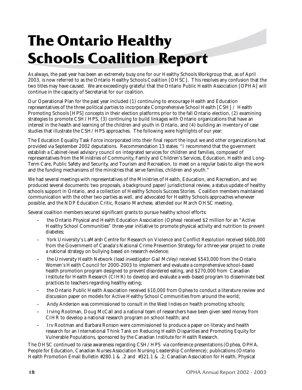## **The Ontario Healthy Schools Coalition Report**

As always, the past year has been an extremely busy one for our Healthy Schools Workgroup that, as of April 2003, is now referred to as the Ontario Healthy Schools Coalition [OHSC]. This resolves any confusion that the two titles may have caused. We are exceedingly grateful that the Ontario Public Health Association [OPHA] will continue in the capacity of Secretariat for our coalition.

Our Operational Plan for the past year included (1) continuing to encourage Health and Education representatives of the three political parties to incorporate Comprehensive School Health [CSH] / Health Promoting Schools [HPS] concepts in their election platforms prior to the fall Ontario election, (2) examining strategies to promote CSH/HPS, (3) continuing to build linkages with Ontario organizations that have an interest in the health and learning of the children and youth in Ontario, and (4) building an inventory of case studies that illustrate the CSH/HPS approaches. The following were highlights of our year:

The Education Equality Task Force incorporated into their final report the input we and other organizations had provided via September 2002 deputations. Recommendation 13 states: "I recommend that the government establish a Cabinet-level advisory council on integrated services for children and families, composed of representatives from the Ministries of Community, Family and Children's Services, Education, Health and Long-Term Care, Public Safety and Security, and Tourism and Recreation, to meet on a regular basis to align the work and the funding mechanisms of the ministries that serve families, children and youth."

We had several meetings with representatives of the Ministries of Health, Education, and Recreation, and we produced several documents: two proposals, a background paper/jurisdictional review, a status update of healthy schools support in Ontario, and a collection of Healthy Schools Success Stories. Coalition members maintained communication with the other two parties as well, and advocated for Healthy Schools approaches whenever possible, and the NDP Education Critic, Rosario Marchese, attended our March OHSC meeting.

Several coalition members secured significant grants to pursue healthy school efforts:

- the Ontario Physical and Health Education Association (Ophea) received \$2 million for an "Active Healthy School Communities" three-year initiative to promote physical activity and nutrition to prevent diabetes;
- York University's LaMarsh Centre for Research on Violence and Conflict Resolution received \$600,000 from the Government of Canada's National Crime Prevention Strategy for a three-year project to create a national strategy on bullying based on research evidence;
- the University Health Network (lead investigator Gail McVey) received \$543,000 from the Ontario Women's Health Council for 2000-2003 to implement and evaluate a comprehensive school-based health promotion program designed to prevent disordered eating, and \$270,000 from Canadian Institute for Health Research (CIHR) to develop and evaluate a web-based program to disseminate best practices to teachers regarding healthy eating;
- the Ontario Public Health Association received \$10,000 from Ophea to conduct a literature review and discussion paper on models for Active Healthy School Communities from around the world;
- Andy Anderson was commissioned to consult in the West Indies on health promoting schools;
- Irving Rootman, Doug McCall and a national team of researchers have been given seed money from CIHR to develop a national research program on school health; and
- Irv Rootman and Barbara Ronson were commissioned to produce a paper on literacy and health research for an International Think Tank on Reducing Health Disparities and Promoting Equity for Vulnerable Populations, sponsored by the Canadian Institute for Health Research.

The OHSC continued to raise awareness regarding CSH/HPS via conference presentations (Ophea, OPHA, People for Education, Canadian Nurses Association Nursing Leadership Conference); publications (Ontario Health Promotion Email Bulletin #280.1 & .2 and #321.1 & .2; Canadian Association for Health, Physical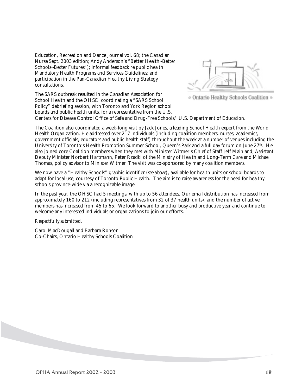Education, Recreation and Dance Journal vol. 68; the Canadian Nurse Sept. 2003 edition; Andy Anderson's "Better Health~Better Schools~Better Futures"); informal feedback re public health Mandatory Health Programs and Services Guidelines; and participation in the Pan-Canadian Healthy Living Strategy consultations.

The SARS outbreak resulted in the Canadian Association for School Health and the OHSC coordinating a "SARS School Policy" debriefing session, with Toronto and York Region school boards and public health units, for a representative from the U.S.





Centers for Disease Control Office of Safe and Drug-Free Schools/ U.S. Department of Education.

The Coalition also coordinated a week-long visit by Jack Jones, a leading School Health expert from the World Health Organization. He addressed over 217 individuals (including coalition members, nurses, academics, government officials, educators and public health staff) throughout the week at a number of venues including the University of Toronto's Health Promotion Summer School, Queen's Park and a full day forum on June 27<sup>th</sup>. He also joined core Coalition members when they met with Minister Witmer's Chief of Staff Jeff Mainland, Assistant Deputy Minister Norbert Hartmann, Peter Rzadki of the Ministry of Health and Long-Term Care and Michael Thomas, policy advisor to Minister Witmer. The visit was co-sponsored by many coalition members.

We now have a "Healthy Schools" graphic identifier (*see above)*, available for health units or school boards to adapt for local use, courtesy of Toronto Public Health. The aim is to raise awareness for the need for healthy schools province-wide via a recognizable image.

In the past year, the OHSC had 5 meetings, with up to 56 attendees. Our email distribution has increased from approximately 160 to 212 (including representatives from 32 of 37 health units), and the number of active members has increased from 45 to 65. We look forward to another busy and productive year and continue to welcome any interested individuals or organizations to join our efforts.

#### *Respectfully submitted,*

Carol MacDougall and Barbara Ronson Co-Chairs, Ontario Healthy Schools Coalition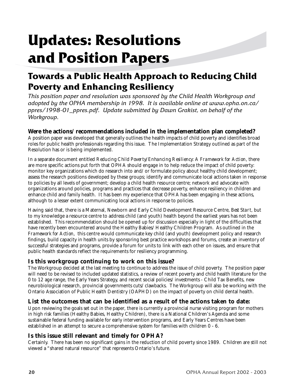## **Updates: Resolutions and Position Papers**

### **Towards a Public Health Approach to Reducing Child Poverty and Enhancing Resiliency**

*This position paper and resolution was sponsored by the Child Health Workgroup and adopted by the OPHA membership in 1998. It is available online at www.opha.on.ca/ ppres/1998-01\_ppres.pdf. Update submitted by Dawn Grakist, on behalf of the Workgroup.*

### **Were the actions/recommendations included in the implementation plan completed?**

A position paper was developed that generally outlines the health impacts of child poverty and identifies broad roles for public health professionals regarding this issue. The Implementation Strategy outlined as part of the Resolution has or is being implemented.

In a separate document entitled *Reducing Child Poverty/Enhancing Resiliency: A Framework for Action*, there are more specific actions put forth that OPHA should engage in to help reduce the impact of child poverty: monitor key organizations which do research into and/or formulate policy about healthy child development; assess the research positions developed by these groups; identify and communicate local actions taken in response to policies by all levels of government; develop a child health resource centre; network and advocate with organizations around policies, programs and practices that decrease poverty, enhance resiliency in children and enhance child and family health. It has been my experience that OPHA has been engaging in these actions, although to a lesser extent communicating local actions in response to policies.

Having said that, there is a Maternal, Newborn and Early Child Development Resource Centre, *Best Start*, but to my knowledge a resource centre to address child (and youth) health beyond the earliest years has not been established. This recommendation should be opened up for discussion especially in light of the difficulties that have recently been encountered around the Healthy Babies/Healthy Children Program. As outlined in the *Framework for Action*, this centre would communicate key child (and youth) development policy and research findings, build capacity in health units by sponsoring best practice workshops and forums, create an inventory of successful strategies and programs, provide a forum for units to link with each other on issues, and ensure that public health standards reflect the requirements for resiliency programming.

### **Is this workgroup continuing to work on this issue?**

The Workgroup decided at the last meeting to continue to address the issue of child poverty. The position paper will need to be revised to included updated statistics, a review of recent poverty and child health literature for the 0 to 12 age range, the Early Years Strategy, and recent social policies/investments - Child Tax Benefits, new neurobiological research, provincial governments cuts/clawbacks. The Workgroup will also be working with the Ontario Association of Public Health Dentistry (OAPHD) on the impact of poverty on child dental health.

### **List the outcomes that can be identified as a result of the actions taken to date:**

Upon reviewing the goals set out in the paper, there is currently a provincial nurse visiting program for mothers in high risk families (Healthy Babies, Healthy Children), there is a National Children's Agenda and some sustainable federal funding available for early intervention programs, and Early Years Centres have been established in an attempt to secure a comprehensive system for families with children 0 - 6.

### **Is this issue still relevant and timely for OPHA?**

Certainly. There has been no significant gains in the reduction of child poverty since 1989. Children are still not viewed a "shared natural resource" that represents Ontario's future.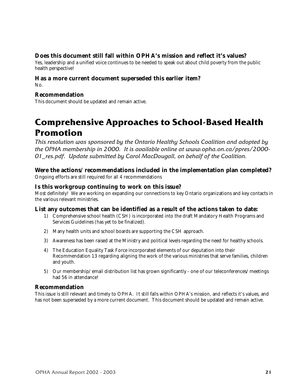### **Does this document still fall within OPHA's mission and reflect it's values?**

Yes, leadership and a unified voice continues to be needed to speak out about child poverty from the public health perspective!

#### **Has a more current document superseded this earlier item?** No.

### **Recommendation**

This document should be updated and remain active.

### **Comprehensive Approaches to School-Based Health Promotion**

*This resolution was sponsored by the Ontario Healthy Schools Coalition and adopted by the OPHA membership in 2000. It is available online at www.opha.on.ca/ppres/2000- 01\_res.pdf. Update submitted by Carol MacDougall, on behalf of the Coalition.*

#### **Were the actions/recommendations included in the implementation plan completed?** Ongoing efforts are still required for all 4 recommendations

### **Is this workgroup continuing to work on this issue?**

Most definitely! We are working on expanding our connections to key Ontario organizations and key contacts in the various relevant ministries.

### **List any outcomes that can be identified as a result of the actions taken to date:**

- 1) Comprehensive school health (CSH) is incorporated into the draft Mandatory Health Programs and Services Guidelines (has yet to be finalized).
- 2) Many health units and school boards are supporting the CSH approach.
- 3) Awareness has been raised at the Ministry and political levels regarding the need for healthy schools.
- 4) The Education Equality Task Force incorporated elements of our deputation into their Recommendation 13 regarding aligning the work of the various ministries that serve families, children and youth.
- 5) Our membership/email distribution list has grown significantly one of our teleconferences/meetings had 56 in attendance!

### **Recommendation**

This issue is still relevant and timely to OPHA. It still falls within OPHA's mission, and reflects it's values, and has not been superseded by a more current document. This document should be updated and remain active.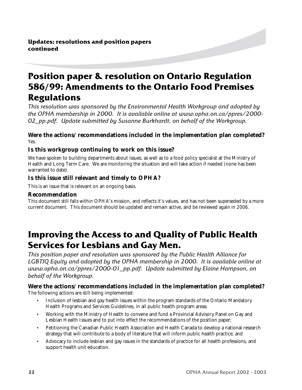### **Position paper & resolution on Ontario Regulation 586/99: Amendments to the Ontario Food Premises Regulations**

*This resolution was sponsored by the Environmental Health Workgroup and adopted by the OPHA membership in 2000. It is available online at www.opha.on.ca/ppres/2000- 02\_pp.pdf. Update submitted by Susanne Burkhardt, on behalf of the Workgroup.*

### **Were the actions/recommendations included in the implementation plan completed?** Yes.

### **Is this workgroup continuing to work on this issue?**

We have spoken to building departments about issues, as well as to a food policy specialist at the Ministry of Health and Long Term Care. We are monitoring the situation and will take action if needed (none has been warranted to date).

### **Is this issue still relevant and timely to OPHA?**

This is an issue that is relevant on an ongoing basis.

### **Recommendation**

This document still falls within OPHA's mission, and reflects it's values, and has not been superseded by a more current document. This document should be updated and remain active, and be reviewed again in 2006.

### **Improving the Access to and Quality of Public Health Services for Lesbians and Gay Men.**

*This position paper and resolution was sponsored by the Public Health Alliance for LGBTIQ Equity and adopted by the OPHA membership in 2000. It is available online at www.opha.on.ca/ppres/2000-01\_pp.pdf. Update submitted by Elaine Hampson, on behalf of the Workgroup.*

### **Were the actions/recommendations included in the implementation plan completed?** The following actions are still being implemented:

- Inclusion of lesbian and gay health issues within the program standards of the Ontario Mandatory Health Programs and Services Guidelines, in all public health program areas;
- Working with the Ministry of Health to convene and fund a Provincial Advisory Panel on Gay and Lesbian Health Issues and to put into effect the recommendations of the position paper;
- Petitioning the Canadian Public Health Association and Health Canada to develop a national research strategy that will contribute to a body of literature that will inform public health practice; and
- Advocacy to include lesbian and gay issues in the standards of practice for all health professions, and support health unit education.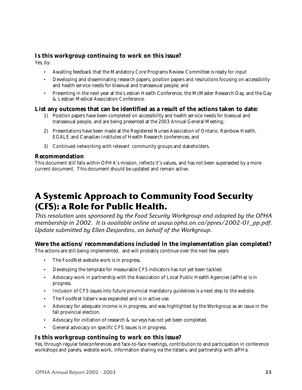### **Is this workgroup continuing to work on this issue?**

Yes, by:

- Awaiting feedback that the Mandatory Core Programs Review Committee is ready for input
- Developing and disseminating research papers, position papers and resolutions focusing on accessibility and health service needs for bisexual and transsexual people; and
- Presenting in the next year at the Lesbian Health Conference, the McMaster Research Day, and the Gay & Lesbian Medical Association Conference.

### **List any outcomes that can be identified as a result of the actions taken to date:**

- 1) Position papers have been completed on accessibility and health service needs for bisexual and transsexual people, and are being presented at the 2003 Annual General Meeting;
- 2) Presentations have been made at the Registered Nurses Association of Ontario, Rainbow Health, EGALE and Canadian Institutes of Health Research conferences; and
- 3) Continued networking with relevant community groups and stakeholders.

#### **Recommendation**

This document still falls within OPHA's mission, reflects it's values, and has not been superseded by a more current document. This document should be updated and remain active.

### **A Systemic Approach to Community Food Security (CFS): a Role for Public Health.**

*This resolution was sponsored by the Food Security Workgroup and adopted by the OPHA membership in 2002. It is available online at www.opha.on.ca/ppres/2002-01\_pp.pdf. Update submitted by Ellen Desjardins, on behalf of the Workgroup.*

### **Were the actions/recommendations included in the implementation plan completed?**

The actions are still being implemented, and will probably continue over the next few years:

- The FoodNet website work is in progress.
- Developing the template for measurable CFS indicators has not yet been tackled.
- Advocacy work in partnership with the Association of Local Public Health Agencies (alPHa) is in progress.
- Inclusion of CFS issues into future provincial mandatory guidelines is a next step to the website.
- The FoodNet listserv was expanded and is in active use.
- Advocacy for adequate income is in progress, and was highlighted by the Workgroup as an issue in the fall provincial election.
- Advocacy for initiation of research & surveys has not yet been completed.
- General advocacy on specific CFS issues is in progress.

### **Is this workgroup continuing to work on this issue?**

Yes, through regular teleconferences and face-to-face meetings, contribution to and participation in conference workshops and panels, website work, information sharing via the listserv, and partnership with alPHa.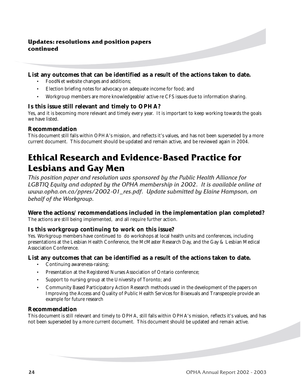### **Updates: resolutions and position papers continued**

### **List any outcomes that can be identified as a result of the actions taken to date.**

- FoodNet website changes and additions;
- Election briefing notes for advocacy on adequate income for food; and
- Workgroup members are more knowledgeable/active re CFS issues due to information sharing.

### **Is this issue still relevant and timely to OPHA?**

Yes, and it is becoming more relevant and timely every year. It is important to keep working towards the goals we have listed.

### **Recommendation**

This document still falls within OPHA's mission, and reflects it's values, and has not been superseded by a more current document. This document should be updated and remain active, and be reviewed again in 2004.

### **Ethical Research and Evidence-Based Practice for Lesbians and Gay Men**

*This position paper and resolution was sponsored by the Public Health Alliance for LGBTIQ Equity and adopted by the OPHA membership in 2002. It is available online at www.opha.on.ca/ppres/2002-01\_res.pdf. Update submitted by Elaine Hampson, on behalf of the Workgroup.*

### **Were the actions/recommendations included in the implementation plan completed?**

The actions are still being implemented, and all require further action.

### **Is this workgroup continuing to work on this issue?**

Yes. Workgroup members have continued to do workshops at local health units and conferences, including presentations at the Lesbian Health Conference, the McMaster Research Day, and the Gay & Lesbian Medical Association Conference.

### **List any outcomes that can be identified as a result of the actions taken to date.**

- Continuing awareness-raising;
- Presentation at the Registered Nurses Association of Ontario conference;
- Support to nursing group at the University of Toronto; and
- Community Based Participatory Action Research methods used in the development of the papers on Improving the Access and Quality of Public Health Services for Bisexuals and Transpeople provide an example for future research

### **Recommendation**

This document is still relevant and timely to OPHA, still falls within OPHA's mission, reflects it's values, and has not been superseded by a more current document. This document should be updated and remain active.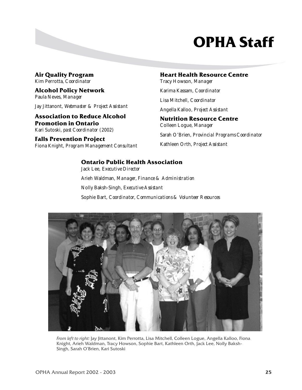## **OPHA Staff**

**Air Quality Program** Kim Perrotta, *Coordinator*

**Alcohol Policy Network** Paula Neves, *Manager*

Jay Jittanont, *Webmaster & Project Assistant*

### **Association to Reduce Alcohol Promotion in Ontario**

Kari Sutoski, *past Coordinator (2002)*

**Falls Prevention Project** Fiona Knight, *Program Management Consultant*

### **Heart Health Resource Centre**

Tracy Howson, *Manager* Karima Kassam, *Coordinator* Lisa Mitchell, *Coordinator* Angella Kalloo, *Project Assistant* **Nutrition Resource Centre**

Colleen Logue, *Manager* Sarah O'Brien, *Provincial Programs Coordinator* Kathleen Orth, *Project Assistant*

### **Ontario Public Health Association**

Jack Lee, *Executive Director* Arieh Waldman, *Manager, Finance & Administration* Nolly Baksh-Singh, *Executive Assistant* Sophie Bart, *Coordinator, Communications & Volunteer Resources*



*From left to right:* Jay Jittanont, Kim Perrotta, Lisa Mitchell, Colleen Logue, Angella Kalloo, Fiona Knight, Arieh Waldman, Tracy Howson, Sophie Bart, Kathleen Orth, Jack Lee, Nolly Baksh-Singh, Sarah O'Brien, Kari Sutoski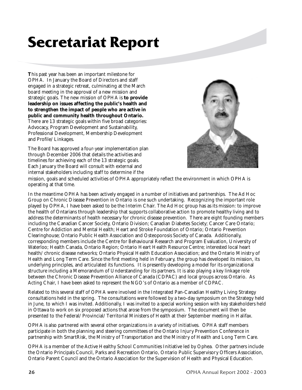## **Secretariat Report**

**T**his past year has been an important milestone for OPHA. In January the Board of Directors and staff engaged in a strategic retreat, culminating at the March board meeting in the approval of a new mission and strategic goals. The new mission of OPHA is **to provide leadership on issues affecting the public's health and to strengthen the impact of people who are active in public and community health throughout Ontario.** There are 13 strategic goals within five broad categories: Advocacy, Program Development and Sustainability, Professional Development, Membership Development and Profile/Linkages.

The Board has approved a four-year implementation plan through December 2006 that details the activities and timelines for achieving each of the 13 strategic goals. Each January the Board will consult with external and internal stakeholders including staff to determine if the



mission, goals and scheduled activities of OPHA appropriately reflect the environment in which OPHA is operating at that time.

In the meantime OPHA has been actively engaged in a number of initiatives and partnerships. The Ad Hoc Group on Chronic Disease Prevention in Ontario is one such undertaking. Recognizing the important role played by OPHA, I have been asked to be the Interim Chair. The Ad Hoc group has as its mission: to improve the health of Ontarians through leadership that supports collaborative action to promote healthy living and to address the determinants of health necessary for chronic disease prevention. There are eight founding members including the Canadian Cancer Society, Ontario Division; Canadian Diabetes Society; Cancer Care Ontario; Centre for Addiction and Mental Health; Heart and Stroke Foundation of Ontario; Ontario Prevention Clearinghouse; Ontario Public Health Association and Osteoporosis Society of Canada. Additionally, corresponding members include the Centre for Behavioural Research and Program Evaluation, University of Waterloo; Health Canada, Ontario Region; Ontario Heart Health Resource Centre; interested local heart health/chronic disease networks; Ontario Physical Health Education Association; and the Ontario Ministry of Health and Long Term Care. Since the first meeting held in February, the group has developed its mission, its underlying principles, and articulated its functions. It is presently developing a model for its organizational structure including a Memorandum of Understanding for its partners. It is also playing a key linkage role between the Chronic Disease Prevention Alliance of Canada (CDPAC) and local groups across Ontario. As Acting Chair, I have been asked to represent the NGO's of Ontario as a member of CDPAC.

Related to this several staff of OPHA were involved in the Integrated Pan-Canadian Healthy Living Strategy consultations held in the spring. The consultations were followed by a two-day symposium on the Strategy held in June, to which I was invited. Additionally, I was invited to a special working session with key stakeholders held in Ottawa to work on six proposed actions that arose from the symposium. The document will then be presented to the Federal/Provincial/Territorial Ministers of Health at their September meeting in Halifax.

OPHA is also partnered with several other organizations in a variety of initiatives. OPHA staff members participate in both the planning and steering committees of the Ontario Injury Prevention Conference in partnership with SmartRisk, the Ministry of Transportation and the Ministry of Health and Long Term Care.

OPHA is a member of the Active Healthy School Communities Initiative led by Ophea. Other partners include the Ontario Principals Council, Parks and Recreation Ontario, Ontario Public Supervisory Officers Association, Ontario Parent Council and the Ontario Association for the Supervision of Health and Physical Education.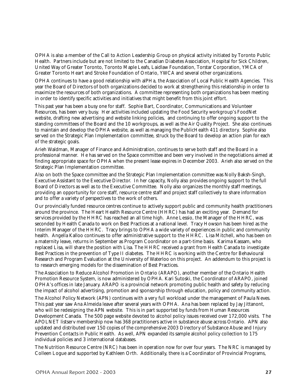OPHA is also a member of the Call to Action Leadership Group on physical activity initiated by Toronto Public Health. Partners include but are not limited to the Canadian Diabetes Association, Hospital for Sick Children, United Way of Greater Toronto, Toronto Maple Leafs, Laidlaw Foundation, Torstar Corporation, YMCA of Greater Toronto Heart and Stroke Foundation of Ontario, YWCA and several other organizations.

OPHA continues to have a good relationship with alPHa, the Association of Local Public Health Agencies. This year the Board of Directors of both organizations decided to work at strengthening this relationship in order to maximize the resources of both organizations. A committee representing both organizations has been meeting in order to identify specific activities and initiatives that might benefit from this joint effort.

This past year has been a busy one for staff. Sophie Bart, Coordinator, Communications and Volunteer Resources, has been very busy. Her activities included updating the Food Security workgroup's FoodNet website, drafting new advertising and website linking policies, and continuing to offer ongoing support to the standing committees of the Board and the 10 workgroups, as well as the Air Quality Project. She also continues to maintain and develop the OPHA website, as well as managing the PublicHealth 411 directory. Sophie also served on the Strategic Plan Implementation committee, struck by the Board to develop an action plan for each of the strategic goals.

Arieh Waldman, Manager of Finance and Administration, continues to serve both staff and the Board in a professional manner. He has served on the Space committee and been very involved in the negotiations aimed at finding appropriate space for OPHA when the present lease expires in December 2003. Arieh also served on the Strategic Plan Implementation committee.

Also on both the Space committee and the Strategic Plan Implementation committee was Nolly Baksh-Singh, Executive Assistant to the Executive Director. In her capacity, Nolly also provides ongoing support to the full Board of Directors as well as to the Executive Committee. Nolly also organizes the monthly staff meetings, providing an opportunity for core staff, resource centre staff and project staff collectively to share information and to offer a variety of perspectives to the work of others.

Our provincially funded resource centres continue to actively support public and community health practitioners around the province. The Heart Health Resource Centre (HHRC) has had an exciting year. Demand for services provided by the HHRC has reached an all time high. Anne Lessio, the Manager of the HHRC, was seconded by Health Canada to work on Best Practices at a national level. Tracy Howson has been hired as the Interim Manager of the HHRC. Tracy brings to OPHA a wide variety of experiences in public and community health. Angella Kalloo continues to offer administrative support to the HHRC. Lisa Mitchell, who has been on a maternity leave, returns in September as Program Coordinator on a part-time basis. Karima Kassam, who replaced Lisa, will share the position with Lisa. The HHRC received a grant from Health Canada to investigate Best Practices in the prevention of Type II diabetes. The HHRC is working with the Centre for Behavioural Research and Program Evaluation at the University of Waterloo on this project. An addendum to this project is to research emerging models for the dissemination of Best Practices.

The Association to Reduce Alcohol Promotion in Ontario (ARAPO), another member of the Ontario Health Promotion Resource System, is now administered by OPHA. Kari Sutoski, the Coordinator of ARAPO, joined OPHA's offices in late January. ARAPO is a provincial network promoting public health and safety by reducing the impact of alcohol advertising, promotion and sponsorship through education, policy and community action.

The Alcohol Policy Network (APN) continues with a very full workload under the management of Paula Neves. This past year saw Ana Almeida leave after several years with OPHA. Ana has been replaced by Jay Jittanont, who will be redesigning the APN website. This is in part supported by funds from Human Resources Development Canada. The 500 page website devoted to alcohol policy issues received over 172,000 visits. The APOLNET listserv membership now has 368 practitioners active in substance abuse across Ontario. APN also updated and distributed over 150 copies of the comprehensive 2003 Directory of Substance Abuse and Injury Prevention Contacts in Public Health. As well, APN expanded its sample alcohol policy collection to  $175$ individual policies and 3 international databases.

The Nutrition Resource Centre (NRC) has been in operation now for over four years. The NRC is managed by Colleen Logue and supported by Kathleen Orth. Additionally, there is a Coordinator of Provincial Programs,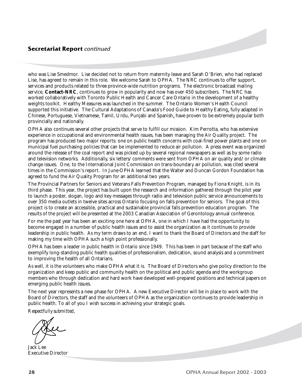### **Secretariat Report** *continued*

who was Lise Smedmor. Lise decided not to return from maternity leave and Sarah O'Brien, who had replaced Lise, has agreed to remain in this role. We welcome Sarah to OPHA. The NRC continues to offer support, services and products related to three province-wide nutrition programs. The electronic broadcast mailing service, **Contact-NRC**, continues to grow in popularity and now has over 450 subscribers. The NRC has worked collaboratively with Toronto Public Health and Cancer Care Ontario in the development of a healthy weights toolkit. Healthy Measures was launched in the summer. The Ontario Women's Health Council supported this initiative. The Cultural Adaptations of Canada's Food Guide to Healthy Eating, fully adapted in Chinese, Portuguese, Vietnamese, Tamil, Urdu, Punjabi and Spanish, have proven to be extremely popular both provincially and nationally.

OPHA also continues several other projects that serve to fulfill our mission. Kim Perrotta, who has extensive experience in occupational and environmental health issues, has been managing the Air Quality project. The program has produced two major reports: one on public health concerns with coal-fired power plants and one on municipal fuel purchasing policies that can be implemented to reduce air pollution. A press event was organized around the release of the coal report and was picked up by several regional newspapers as well as by some radio and television networks. Additionally, six letters/comments were sent from OPHA on air quality and/or climate change issues. One, to the International Joint Commission on trans-boundary air pollution, was cited several times in the Commission's report. In June OPHA learned that the Walter and Duncan Gordon Foundation has agreed to fund the Air Quality Program for an additional two years.

The Provincial Partners for Seniors and Veterans Falls Prevention Program, managed by Fiona Knight, is in its third phase. This year, the project has built upon the research and information gathered through the pilot year to launch a poster, slogan, logo and key messages through radio and television public service announcements to over 350 media outlets in twelve sites across Ontario focusing on falls prevention for seniors. The goal of this project is to create an accessible, practical and sustainable provincial falls prevention education program. The results of the project will be presented at the 2003 Canadian Association of Gerontology annual conference.

For me the past year has been an exciting one here at OPHA, one in which I have had the opportunity to become engaged in a number of public health issues and to assist the organization as it continues to provide leadership in public health. As my term draws to an end, I want to thank the Board of Directors and the staff for making my time with OPHA such a high point professionally.

OPHA has been a leader in public health in Ontario since 1949. This has been in part because of the staff who exemplify long-standing public health qualities of professionalism, dedication, sound analysis and a commitment to improving the health of all Ontarians.

As well, it is the volunteers who make OPHA what it is. The Board of Directors who give policy direction to the organization and keep public and community health on the political and public agenda and the workgroup members who through dedication and hard work have developed well-prepared positions and technical papers on emerging public health issues.

The next year represents a new phase for OPHA. A new Executive Director will be in place to work with the Board of Directors, the staff and the volunteers of OPHA as the organization continues to provide leadership in public health. To all of you I wish success in achieving your strategic goals.

*Respectfully submitted,*

Jack Lee Executive Director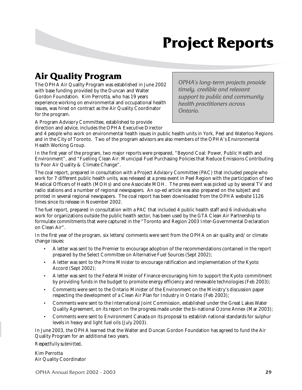## **Project Reports**

### **Air Quality Program**

The OPHA Air Quality Program was established in June 2002 with base funding provided by the Duncan and Walter Gordon Foundation. Kim Perrotta, who has 19 years experience working on environmental and occupational health issues, was hired on contract as the Air Quality Coordinator for the program.

*OPHA's long-term projects provide timely, credible and relevant support to public and community health practitioners across Ontario.*

A Program Advisory Committee, established to provide direction and advice, includes the OPHA Executive Director

and 4 people who work on environmental health issues in public health units in York, Peel and Waterloo Regions and in the City of Toronto. Two of the program advisors are also members of the OPHA's Environmental Health Working Group.

In the first year of the program, two major reports were prepared, "Beyond Coal: Power, Public Health and Environment", and "Fuelling Clean Air: Municipal Fuel Purchasing Policies that Reduce Emissions Contributing to Poor Air Quality & Climate Change".

The coal report, prepared in consultation with a Project Advisory Committee (PAC) that included people who work for 7 different public health units, was released at a press event in Peel Region with the participation of two Medical Officers of Health (MOHs) and one Associate MOH. The press event was picked up by several TV and radio stations and a number of regional newspapers. An op-ed article was also prepared on the subject and printed in several regional newspapers. The coal report has been downloaded from the OPHA website 1126 times since its release in November 2002.

The fuel report, prepared in consultation with a PAC that included 4 public health staff and 6 individuals who work for organizations outside the public health sector, has been used by the GTA Clean Air Partnership to formulate commitments that were captured in the "Toronto and Region 2003 Inter-Governmental Declaration on Clean Air".

In the first year of the program, six letters/comments were sent from the OPHA on air quality and/or climate change issues:

- A letter was sent to the Premier to encourage adoption of the recommendations contained in the report prepared by the Select Committee on Alternative Fuel Sources (Sept 2002);
- A letter was sent to the Prime Minister to encourage ratification and implementation of the Kyoto Accord (Sept 2002);
- A letter was sent to the Federal Minister of Finance encouraging him to support the Kyoto commitment by providing funds in the budget to promote energy efficiency and renewable technologies (Feb 2003);
- Comments were sent to the Ontario Minister of the Environment on the Ministry's discussion paper respecting the development of a Clean Air Plan for Industry in Ontario (Feb 2003);
- Comments were sent to the International Joint Commission, established under the Great Lakes Water Quality Agreement, on its report on the progress made under the bi-national Ozone Annex (Mar 2003);
- Comments were sent to Environment Canada on its proposal to establish national standards for sulphur levels in heavy and light fuel oils (July 2003).

In June 2003, the OPHA learned that the Walter and Duncan Gordon Foundation has agreed to fund the Air Quality Program for an additional two years.

#### *Respectfully submitted,*

Kim Perrotta Air Quality Coordinator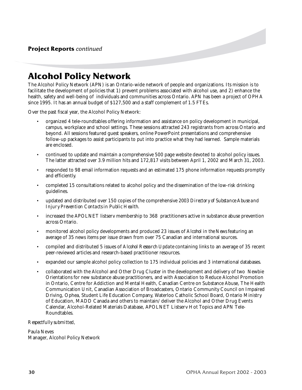### **Alcohol Policy Network**

The Alcohol Policy Network (APN) is an Ontario-wide network of people and organizations. Its mission is to facilitate the development of policies that 1) prevent problems associated with alcohol use, and 2) enhance the health, safety and well-being of individuals and communities across Ontario. APN has been a project of OPHA since 1995. It has an annual budget of \$127,500 and a staff complement of 1.5 FTEs.

Over the past fiscal year, the Alcohol Policy Network:

- organized 4 tele-roundtables offering information and assistance on policy development in municipal, campus, workplace and school settings. These sessions attracted 243 registrants from across Ontario and beyond. All sessions featured guest speakers, online PowerPoint presentations and comprehensive follow-up packages to assist participants to put into practice what they had learned. Sample materials are enclosed.
- continued to update and maintain a comprehensive 500 page website devoted to alcohol policy issues. The latter attracted over 3.9 million hits and 172,817 visits between April 1, 2002 and March 31, 2003.
- responded to 98 email information requests and an estimated 175 phone information requests promptly and efficiently.
- completed 15 consultations related to alcohol policy and the dissemination of the low-risk drinking guidelines.
- updated and distributed over 150 copies of the comprehensive *2003 Directory of Substance Abuse and Injury Prevention Contacts in Public Health.*
- increased the APOLNET listserv membership to 368 practitioners active in substance abuse prevention across Ontario.
- monitored alcohol policy developments and produced 23 issues of *Alcohol in the News* featuring an average of 35 news items per issue drawn from over 75 Canadian and international sources.
- compiled and distributed 5 issues of *Alcohol Research Update* containing links to an average of 35 recent peer-reviewed articles and research-based practitioner resources.
- expanded our sample alcohol policy collection to 175 individual policies and 3 international databases.
- collaborated with the Alcohol and Other Drug Cluster in the development and delivery of two Newbie Orientations for new substance abuse practitioners, and with Association to Reduce Alcohol Promotion in Ontario, Centre for Addiction and Mental Health, Canadian Centre on Substance Abuse, The Health Communication Unit, Canadian Association of Broadcasters, Ontario Community Council on Impaired Driving, Ophea, Student Life Education Company, Waterloo Catholic School Board, Ontario Ministry of Education, MADD Canada and others to maintain/deliver the Alcohol and Other Drug Events Calendar, Alcohol-Related Materials Database, APOLNET Listserv Hot Topics and APN Tele-Roundtables.

#### *Respectfully submitted,*

Paula Neves Manager, Alcohol Policy Network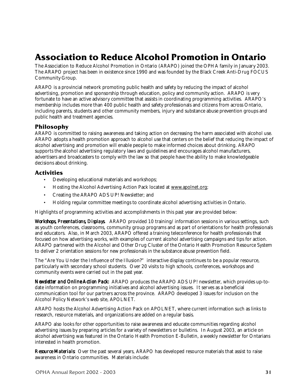### **Association to Reduce Alcohol Promotion in Ontario**

The Association to Reduce Alcohol Promotion in Ontario (ARAPO) joined the OPHA family in January 2003. The ARAPO project has been in existence since 1990 and was founded by the Black Creek Anti-Drug FOCUS Community Group.

ARAPO is a provincial network promoting public health and safety by reducing the impact of alcohol advertising, promotion and sponsorship through education, policy and community action. ARAPO is very fortunate to have an active advisory committee that assists in coordinating programming activities. ARAPO's membership includes more than 400 public health and safety professionals and citizens from across Ontario, including parents, students and other community members, injury and substance abuse prevention groups and public health and treatment agencies.

### **Philosophy**

ARAPO is committed to raising awareness and taking action on decreasing the harm associated with alcohol use. ARAPO adopts a health promotion approach to alcohol use that centers on the belief that reducing the impact of alcohol advertising and promotion will enable people to make informed choices about drinking. ARAPO supports the alcohol advertising regulatory laws and guidelines and encourages alcohol manufacturers, advertisers and broadcasters to comply with the law so that people have the ability to make knowledgeable decisions about drinking.

### **Activities**

- Developing educational materials and workshops;
- Hosting the Alcohol Advertising Action Pack located at www.apolnet.org;
- Creating the ARAPO ADS UP! Newsletter; and
- Holding regular committee meetings to coordinate alcohol advertising activities in Ontario.

Highlights of programming activities and accomplishments in this past year are provided below:

*Workshops, Presentations, Displays.* ARAPO provided 10 training/information sessions in various settings, such as youth conferences, classrooms, community group programs and as part of orientations for health professionals and educators. Also, in March 2003, ARAPO offered a training teleconference for health professionals that focused on how advertising works, with examples of current alcohol advertising campaigns and tips for action. ARAPO partnered with the Alcohol and Other Drug Cluster of the Ontario Health Promotion Resource System to deliver 2 orientation sessions for new professionals in the substance abuse prevention field.

The "Are You Under the Influence of the Illusion?" interactive display continues to be a popular resource, particularly with secondary school students. Over 20 visits to high schools, conferences, workshops and community events were carried out in the past year.

*Newsletter and Online Action Pack:* ARAPO produces the ARAPO ADS UP! newsletter, which provides up-todate information on programming initiatives and alcohol advertising issues. It serves as a beneficial communication tool for our partners across the province. ARAPO developed 3 issues for inclusion on the Alcohol Policy Network's web site, APOLNET.

ARAPO hosts the Alcohol Advertising Action Pack on APOLNET, where current information such as links to research, resource materials, and organizations are added on a regular basis.

ARAPO also looks for other opportunities to raise awareness and educate communities regarding alcohol advertising issues by preparing articles for a variety of newsletters or bulletins. In August 2003, an article on alcohol advertising was featured in the Ontario Health Promotion E-Bulletin, a weekly newsletter for Ontarians interested in health promotion.

*Resource Materials:* Over the past several years, ARAPO has developed resource materials that assist to raise awareness in Ontario communities. Materials include: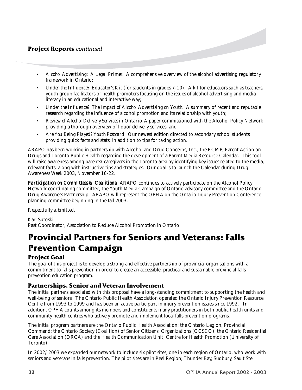### **Project Reports** *continued*

- *• Alcohol Advertising: A Legal Primer.* A comprehensive overview of the alcohol advertising regulatory framework in Ontario;
- *<i>Under the Influence? Educator's Kit* (for students in grades 7-10). A kit for educators such as teachers, youth group facilitators or health promoters focusing on the issues of alcohol advertising and media literacy in an educational and interactive way;
- *• Under the Influence? The Impact of Alcohol Advertising on Youth.* A summary of recent and reputable research regarding the influence of alcohol promotion and its relationship with youth;
- *• Review of Alcohol Delivery Services in Ontario.* A paper commissioned with the Alcohol Policy Network providing a thorough overview of liquor delivery services; and
- *• Are You Being Played? Youth Postcard.* Our newest edition directed to secondary school students providing quick facts and stats, in addition to tips for taking action.

ARAPO has been working in partnership with Alcohol and Drug Concerns, Inc., the RCMP, Parent Action on Drugs and Toronto Public Health regarding the development of a Parent Media Resource Calendar. This tool will raise awareness among parents/caregivers in the Toronto area by identifying key issues related to the media, relevant facts, along with instructive tips and strategies. Our goal is to launch the Calendar during Drug Awareness Week 2003, November 16-22.

**Participation on Committees & Coalitions:** ARAPO continues to actively participate on the Alcohol Policy Network coordinating committee, the Youth Media Campaign of Ontario advisory committee and the Ontario Drug Awareness Partnership. ARAPO will represent the OPHA on the Ontario Injury Prevention Conference planning committee beginning in the fall 2003.

#### *Respectfully submitted,*

Kari Sutoski Past Coordinator, Association to Reduce Alcohol Promotion in Ontario

### **Provincial Partners for Seniors and Veterans: Falls Prevention Campaign**

### **Project Goal**

The goal of this project is to develop a strong and effective partnership of provincial organisations with a commitment to falls prevention in order to create an accessible, practical and sustainable provincial falls prevention education program.

### **Partnerships, Senior and Veteran Involvement**

The initial partners associated with this proposal have a long-standing commitment to supporting the health and well-being of seniors. The Ontario Public Health Association operated the Ontario Injury Prevention Resource Centre from 1993 to 1999 and has been an active participant in injury prevention issues since 1992. In addition, OPHA counts among its members and constituents many practitioners in both public health units and community health centres who actively promote and implement local falls prevention programs.

The initial program partners are the Ontario Public Health Association; the Ontario Legion, Provincial Command; the Ontario Society (Coalition) of Senior Citizens' Organizations (OCSCO); the Ontario Residential Care Association (ORCA) and the Health Communication Unit, Centre for Health Promotion (University of Toronto).

In 2002/2003 we expanded our network to include six pilot sites, one in each region of Ontario, who work with seniors and veterans in falls prevention. The pilot sites are in Peel Region; Thunder Bay, Sudbury, Sault Ste.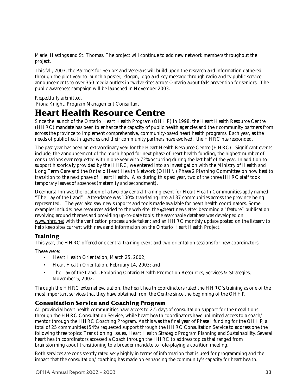Marie, Hastings and St. Thomas. The project will continue to add new network members throughout the project.

This fall, 2003, the Partners for Seniors and Veterans will build upon the research and information gathered through the pilot year to launch a poster, slogan, logo and key message through radio and tv public service announcements to over 350 media outlets in twelve sites across Ontario about falls prevention for seniors. The public awareness campaign will be launched in November 2003.

#### *Respectfully submitted,*

Fiona Knight, Program Management Consultant

### **Heart Health Resource Centre**

Since the launch of the Ontario Heart Health Program (OHHP) in 1998, the Heart Health Resource Centre (HHRC) mandate has been to enhance the capacity of public health agencies and their community partners from across the province to implement comprehensive, community-based heart health programs. Each year, as the needs of public health agencies and their community partners have evolved, the HHRC has responded.

The past year has been an extraordinary year for the Heart Health Resource Centre (HHRC). Significant events include; the announcement of the much hoped for next phase of heart health funding, the highest number of consultations ever requested within one year with 72% occurring during the last half of the year. In addition to support historically provided by the HHRC, we entered into an investigation with the Ministry of Health and Long Term Care and the Ontario Heart Health Network (OHHN) Phase 2 Planning Committee on how best to transition to the next phase of Heart Health. Also during this past year, two of the three HHRC staff took temporary leaves of absences (maternity and secondment).

Deerhurst Inn was the location of a two-day central training event for Heart Health Communities aptly named "The Lay of the Land". Attendance was 100% translating into all 37 communities across the province being represented. The year also saw new supports and tools made available for heart health coordinators. Some examples include: new resources added to the web site; the @heart newsletter becoming a "feature" publication revolving around themes and providing up-to-date tools; the searchable database was developed on www.hhrc.net with the verification process undertaken; and an HHRC monthly update posted on the listserv to help keep sites current with news and information on the Ontario Heart Health Project.

### **Training**

This year, the HHRC offered one central training event and two orientation sessions for new coordinators.

These were:

- Heart Health Orientation, March 25, 2002;
- Heart Health Orientation, February 14, 2003; and
- The Lay of the Land…Exploring Ontario Health Promotion Resources, Services & Strategies, November 5, 2002.

Through the HHRC external evaluation, the heart health coordinators rated the HHRC's training as one of the most important services that they have obtained from the Centre since the beginning of the OHHP.

### **Consultation Service and Coaching Program**

All provincial heart health communities have access to 2.5 days of consultation support for their coalitions through the HHRC Consultation Service, while heart health coordinators have unlimited access to a coach/ mentor through the HHRC Coaching Program. As this was the final year of Phase I funding for the OHHP, a total of 25 communities (54%) requested support through the HHRC Consultation Service to address one the following three topics: Transitioning Issues, Heart Health Strategic Program Planning and Sustainability. Several heart health coordinators accessed a Coach through the HHRC to address topics that ranged from brainstorming about transitioning to a broader mandate to role-playing a coalition meeting.

Both services are consistently rated very highly in terms of information that is used for programming and the impact that the consultation/coaching has made on enhancing the community's capacity for heart health.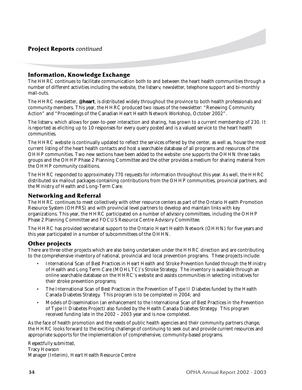### **Information, Knowledge Exchange**

The HHRC continues to facilitate communication both to and between the heart health communities through a number of different activities including the website, the listserv, newsletter, telephone support and bi-monthly mail-outs.

The HHRC newsletter, **@heart**, is distributed widely throughout the province to both health professionals and community members. This year, the HHRC produced two issues of the newsletter: "Renewing Community Action" and "Proceedings of the Canadian Heart Health Network Workshop, October 2002".

The listserv, which allows for peer-to-peer interaction and sharing, has grown to a current membership of 230. It is reported as eliciting up to 10 responses for every query posted and is a valued service to the heart health communities.

The HHRC website is continually updated to reflect the services offered by the center, as well as, house the most current listing of the heart health contacts and host a searchable database of all programs and resources of the OHHP communities. Two new sections have been added to the website: one supports the OHHN three tasks groups and the OHHP Phase 2 Planning Committee and the other provides a medium for sharing material from the OHHP community coalitions.

The HHRC responded to approximately 770 requests for information throughout this year. As well, the HHRC distributed six mailout packages containing contributions from the OHHP communities, provincial partners, and the Ministry of Health and Long-Term Care.

#### **Networking and Referral**

The HHRC continues to meet collectively with other resource centers as part of the Ontario Health Promotion Resource System (OHPRS) and with provincial level partners to develop and maintain links with key organizations. This year, the HHRC participated on a number of advisory committees, including the OHHP Phase 2 Planning Committee and FOCUS Resource Centre Advisory Committee.

The HHRC has provided secretariat support to the Ontario Heart Health Network (OHHN) for five years and this year participated in a number of subcommittees of the OHHN.

### **Other projects**

There are three other projects which are also being undertaken under the HHRC direction and are contributing to the comprehensive inventory of national, provincial and local prevention programs. These projects include:

- International Scan of Best Practices in Heart Health and Stroke Prevention funded through the Ministry of Health and Long Term Care (MOHLTC)'s Stroke Strategy. The inventory is available through an online searchable database on the HHRC's website and assists communities in selecting initiatives for their stroke prevention programs;
- The International Scan of Best Practices in the Prevention of Type II Diabetes funded by the Health Canada Diabetes Strategy. This program is to be completed in 2004; and
- Models of Dissemination (an enhancement to the International Scan of Best Practices in the Prevention of Type II Diabetes Project) also funded by the Health Canada Diabetes Strategy. This program received funding late in the 2002 – 2003 year and is now completed.

As the face of health promotion and the needs of public health agencies and their community partners change, the HHRC looks forward to the exciting challenge of continuing to seek out and provide current resources and appropriate supports for the implementation of comprehensive, community-based programs.

*Respectfully submitted,* Tracy Howson Manager (Interim), Heart Health Resource Centre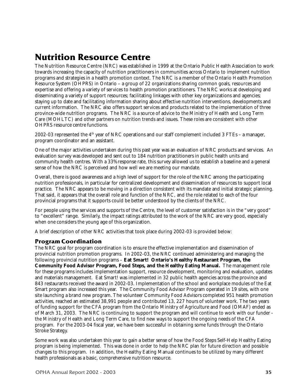### **Nutrition Resource Centre**

The Nutrition Resource Centre (NRC) was established in 1999 at the Ontario Public Health Association to work towards increasing the capacity of nutrition practitioners in communities across Ontario to implement nutrition programs and strategies in a health promotion context. The NRC is a member of the Ontario Health Promotion Resource System (OHPRS) in Ontario – a group of 22 organizations sharing common goals, resources and expertise and offering a variety of services to health promotion practitioners. The NRC works at developing and disseminating a variety of support resources; facilitating linkages with other key organizations and agencies; staying up to date and facilitating information sharing about effective nutrition interventions, developments and current information. The NRC also offers support services and products related to the implementation of three province-wide nutrition programs. The NRC is a source of advice to the Ministry of Health and Long Term Care (MOHLTC) and other partners on nutrition trends and issues. These roles are consistent with other OHPRS resource centre functions.

2002-03 represented the  $4<sup>th</sup>$  year of NRC operations and our staff complement included 3 FTEs – a manager, program coordinator and an assistant.

One of the major activities undertaken during this past year was an evaluation of NRC products and services. An evaluation survey was developed and sent out to 184 nutrition practitioners in public health units and community health centres. With a 33% response rate, this survey allowed us to establish a baseline and a general sense of how the NRC is perceived and how well we are meeting our mandate.

Overall, there is good awareness and a high level of support for the role of the NRC among the participating nutrition professionals, in particular for centralized development and dissemination of resources to support local practice. The NRC appears to be moving in a direction consistent with its mandate and initial strategic planning. That said, it appears that the overall role and function of the NRC, and the role related to *each* of the four provincial programs that it supports could be better understood by the clients of the NRC.

For people using the services and supports of the Centre, the level of customer satisfaction is in the "very good" to "excellent" range. Similarly, the impact ratings attributed to the work of the NRC are very good, especially when one considers the young age of this organization.

A brief description of other NRC activities that took place during 2002-03 is provided below:

### **Program Coordination**

The NRC goal for program coordination is to ensure the effective implementation and dissemination of provincial nutrition promotion programs. In 2002-03, the NRC continued administering and managing the following provincial nutrition programs – **Eat Smart! Ontario's Healthy Restaurant Program, the Community Food Advisor Program, Food Steps, and the Healthy Eating Manual.** The management role for these programs includes implementation support, resource development, monitoring and evaluation, updates and materials management. Eat Smart! was implemented in 32 public health agencies across the province and 843 restaurants received the award in 2002-03. Implementation of the school and workplace modules of the Eat Smart program also increased this year. The Community Food Advisor Program operated in 19 sites, with one site launching a brand new program. The volunteer Community Food Advisors completed 951 health promotion activities, reached an estimated 38,991 people and contributed 13, 227 hours of volunteer work. The two years of funding support for the CFA program from the Ontario Ministry of Agriculture and Food (OMAF) ended as of March 31, 2003. The NRC is continuing to support the program and will continue to work with our funder the Ministry of Health and Long Term Care, to find new ways to support the ongoing needs of the CFA program. For the 2003-04 fiscal year, we have been successful in obtaining some funds through the Ontario Stroke Strategy.

Some work was also undertaken this year to gain a better sense of how the Food Steps Self-Help Healthy Eating program is being implemented. This was done in order to help the NRC plan for future direction and possible changes to this program. In addition, the Healthy Eating Manual continues to be utilized by many different health professionals as a basic, comprehensive nutrition resource.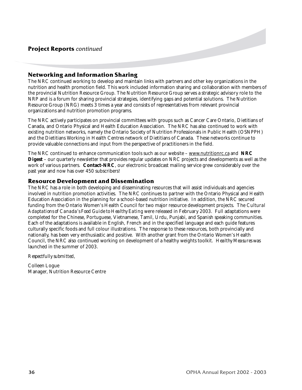### **Networking and Information Sharing**

The NRC continued working to develop and maintain links with partners and other key organizations in the nutrition and health promotion field. This work included information sharing and collaboration with members of the provincial Nutrition Resource Group. The Nutrition Resource Group serves a strategic advisory role to the NRP and is a forum for sharing provincial strategies, identifying gaps and potential solutions. The Nutrition Resource Group (NRG) meets 3 times a year and consists of representatives from relevant provincial organizations and nutrition promotion programs.

The NRC actively participates on provincial committees with groups such as Cancer Care Ontario, Dietitians of Canada, and Ontario Physical and Health Education Association. The NRC has also continued to work with existing nutrition networks, namely the Ontario Society of Nutrition Professionals in Public Health (OSNPPH) and the Dietitians Working in Health Centres network of Dietitians of Canada. These networks continue to provide valuable connections and input from the perspective of practitioners in the field.

The NRC continued to enhance communication tools such as our website – www.nutritionrc.ca and **NRC Digest** – our quarterly newsletter that provides regular updates on NRC projects and developments as well as the work of various partners. **Contact-NRC**, our electronic broadcast mailing service grew considerably over the past year and now has over 450 subscribers!

### **Resource Development and Dissemination**

The NRC has a role in both developing and disseminating resources that will assist individuals and agencies involved in nutrition promotion activities. The NRC continues to partner with the Ontario Physical and Health Education Association in the planning for a school-based nutrition initiative. In addition, the NRC secured funding from the Ontario Women's Health Council for two major resource development projects. The *Cultural Adaptations of Canada's Food Guide to Healthy Eating* were released in February 2003. Full adaptations were completed for the Chinese, Portuguese, Vietnamese, Tamil, Urdu, Punjabi, and Spanish speaking communities. Each of the adaptations is available in English, French and in the specified language and each guide features culturally specific foods and full colour illustrations. The response to these resources, both provincially and nationally, has been very enthusiastic and positive. With another grant from the Ontario Women's Health Council, the NRC also continued working on development of a healthy weights toolkit. *Healthy Measures* was launched in the summer of 2003.

*Respectfully submitted,*

Colleen Logue Manager, Nutrition Resource Centre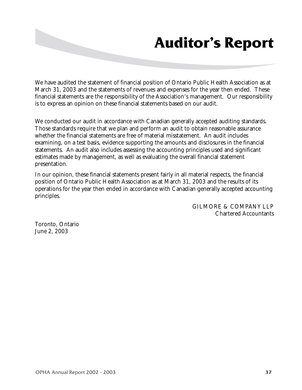## **Auditor's Report**

We have audited the statement of financial position of Ontario Public Health Association as at March 31, 2003 and the statements of revenues and expenses for the year then ended. These financial statements are the responsibility of the Association's management. Our responsibility is to express an opinion on these financial statements based on our audit.

We conducted our audit in accordance with Canadian generally accepted auditing standards. Those standards require that we plan and perform an audit to obtain reasonable assurance whether the financial statements are free of material misstatement. An audit includes examining, on a test basis, evidence supporting the amounts and disclosures in the financial statements. An audit also includes assessing the accounting principles used and significant estimates made by management, as well as evaluating the overall financial statement presentation.

In our opinion, these financial statements present fairly in all material respects, the financial position of Ontario Public Health Association as at March 31, 2003 and the results of its operations for the year then ended in accordance with Canadian generally accepted accounting principles.

> GILMORE & COMPANY LLP Chartered Accountants

Toronto, Ontario June 2, 2003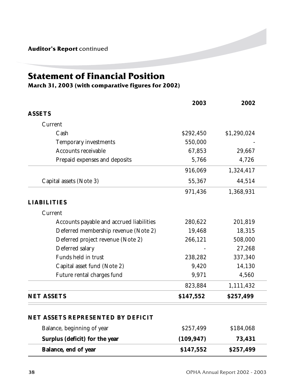**Auditor's Report** continued

### **Statement of Financial Position**

**March 31, 2003 (with comparative figures for 2002)**

|                                          | 2003       | 2002        |
|------------------------------------------|------------|-------------|
| <b>ASSETS</b>                            |            |             |
| Current                                  |            |             |
| Cash                                     | \$292,450  | \$1,290,024 |
| Temporary investments                    | 550,000    |             |
| Accounts receivable                      | 67,853     | 29,667      |
| Prepaid expenses and deposits            | 5,766      | 4,726       |
|                                          | 916,069    | 1,324,417   |
| Capital assets (Note 3)                  | 55,367     | 44,514      |
|                                          | 971,436    | 1,368,931   |
| <b>LIABILITIES</b>                       |            |             |
| Current                                  |            |             |
| Accounts payable and accrued liabilities | 280,622    | 201,819     |
| Deferred membership revenue (Note 2)     | 19,468     | 18,315      |
| Deferred project revenue (Note 2)        | 266,121    | 508,000     |
| Deferred salary                          |            | 27,268      |
| Funds held in trust                      | 238,282    | 337,340     |
| Capital asset fund (Note 2)              | 9,420      | 14,130      |
| Future rental charges fund               | 9,971      | 4,560       |
|                                          | 823,884    | 1,111,432   |
| <b>NET ASSETS</b>                        | \$147,552  | \$257,499   |
| NET ASSETS REPRESENTED BY DEFICIT        |            |             |
| Balance, beginning of year               | \$257,499  | \$184,068   |
| Surplus (deficit) for the year           | (109, 947) | 73,431      |
| Balance, end of year                     | \$147,552  | \$257,499   |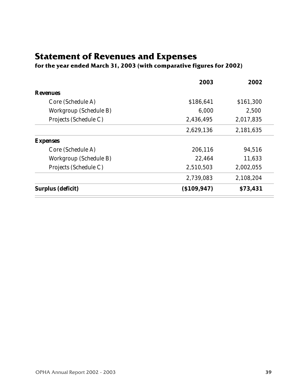### **Statement of Revenues and Expenses**

### **for the year ended March 31, 2003 (with comparative figures for 2002)**

| 2003           | 2002      |
|----------------|-----------|
|                |           |
| \$186,641      | \$161,300 |
| 6,000          | 2,500     |
| 2,436,495      | 2,017,835 |
| 2,629,136      | 2,181,635 |
|                |           |
| 206,116        | 94,516    |
| 22,464         | 11,633    |
| 2,510,503      | 2,002,055 |
| 2,739,083      | 2,108,204 |
| $($ \$109,947) | \$73,431  |
|                |           |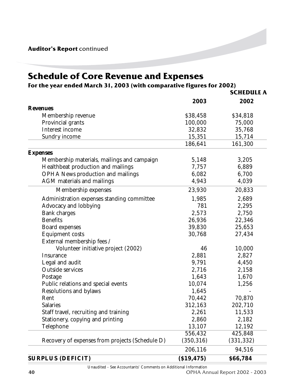**Auditor's Report** continued

### **Schedule of Core Revenue and Expenses**

### **For the year ended March 31, 2003 (with comparative figures for 2002)**

|                                                 |             | <b>SCHEDULE A</b> |
|-------------------------------------------------|-------------|-------------------|
|                                                 | 2003        | 2002              |
| <b>Revenues</b>                                 |             |                   |
| Membership revenue                              | \$38,458    | \$34,818          |
| Provincial grants                               | 100,000     | 75,000            |
| Interest income                                 | 32,832      | 35,768            |
| <b>Sundry income</b>                            | 15,351      | 15,714            |
|                                                 | 186,641     | 161,300           |
| <b>Expenses</b>                                 |             |                   |
| Membership materials, mailings and campaign     | 5,148       | 3,205             |
| Healthbeat production and mailings              | 7,757       | 6,889             |
| <b>OPHA News production and mailings</b>        | 6,082       | 6,700             |
| AGM materials and mailings                      | 4,943       | 4,039             |
| Membership expenses                             | 23,930      | 20,833            |
| Administration expenses standing committee      | 1,985       | 2,689             |
| Advocacy and lobbying                           | 781         | 2,295             |
| <b>Bank charges</b>                             | 2,573       | 2,750             |
| <b>Benefits</b>                                 | 26,936      | 22,346            |
| Board expenses                                  | 39,830      | 25,653            |
| <b>Equipment costs</b>                          | 30,768      | 27,434            |
| External membership fees /                      |             |                   |
| Volunteer initiative project (2002)             | 46          | 10,000            |
| Insurance                                       | 2,881       | 2,827             |
| Legal and audit                                 | 9,791       | 4,450             |
| <b>Outside services</b>                         | 2,716       | 2,158             |
| Postage                                         | 1,643       | 1,670             |
| Public relations and special events             | 10,074      | 1,256             |
| Resolutions and bylaws                          | 1,645       |                   |
| Rent                                            | 70,442      | 70,870            |
| <b>Salaries</b>                                 | 312,163     | 202,710           |
| Staff travel, recruiting and training           | 2,261       | 11,533            |
| Stationery, copying and printing                | 2,860       | 2,182             |
| Telephone                                       | 13,107      | 12,192            |
|                                                 | 556,432     | 425,848           |
| Recovery of expenses from projects (Schedule D) | (350, 316)  | (331, 332)        |
|                                                 | 206,116     | 94,516            |
| <b>SURPLUS (DEFICIT)</b>                        | ( \$19,475) | \$66,784          |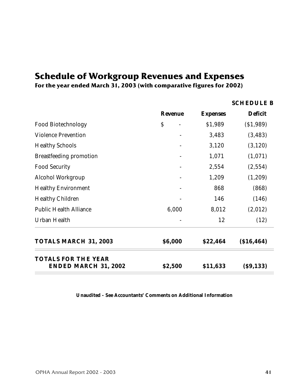### **Schedule of Workgroup Revenues and Expenses**

**For the year ended March 31, 2003 (with comparative figures for 2002)**

|                                                           |                           |                 | <b>SCHEDULE B</b> |
|-----------------------------------------------------------|---------------------------|-----------------|-------------------|
|                                                           | <b>Revenue</b>            | <b>Expenses</b> | <b>Deficit</b>    |
| <b>Food Biotechnology</b>                                 | $\boldsymbol{\mathsf{S}}$ | \$1,989         | ( \$1,989)        |
| <b>Violence Prevention</b>                                |                           | 3,483           | (3, 483)          |
| <b>Healthy Schools</b>                                    |                           | 3,120           | (3, 120)          |
| <b>Breastfeeding promotion</b>                            |                           | 1,071           | (1,071)           |
| <b>Food Security</b>                                      |                           | 2,554           | (2,554)           |
| Alcohol Workgroup                                         |                           | 1,209           | (1,209)           |
| <b>Healthy Environment</b>                                |                           | 868             | (868)             |
| <b>Healthy Children</b>                                   |                           | 146             | (146)             |
| <b>Public Health Alliance</b>                             | 6,000                     | 8,012           | (2,012)           |
| <b>Urban Health</b>                                       |                           | 12              | (12)              |
| <b>TOTALS MARCH 31, 2003</b>                              | \$6,000                   | \$22,464        | ( \$16,464)       |
| <b>TOTALS FOR THE YEAR</b><br><b>ENDED MARCH 31, 2002</b> | \$2,500                   | \$11,633        | $($ \$9,133 $)$   |

**Unaudited - See Accountants' Comments on Additional Information**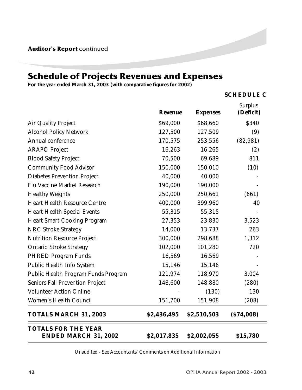### **Schedule of Projects Revenues and Expenses**

**For the year ended March 31, 2003 (with comparative figures for 2002)**

#### **SCHEDULE C**

|                                                           | <b>Revenue</b> | <b>Expenses</b> | <b>Surplus</b><br>(Deficit) |
|-----------------------------------------------------------|----------------|-----------------|-----------------------------|
| Air Quality Project                                       | \$69,000       | \$68,660        | \$340                       |
| <b>Alcohol Policy Network</b>                             | 127,500        | 127,509         | (9)                         |
| Annual conference                                         | 170,575        | 253,556         | (82, 981)                   |
| <b>ARAPO Project</b>                                      | 16,263         | 16,265          | (2)                         |
| <b>Blood Safety Project</b>                               | 70,500         | 69,689          | 811                         |
| <b>Community Food Advisor</b>                             | 150,000        | 150,010         | (10)                        |
| <b>Diabetes Prevention Project</b>                        | 40,000         | 40,000          |                             |
| Flu Vaccine Market Research                               | 190,000        | 190,000         |                             |
| <b>Healthy Weights</b>                                    | 250,000        | 250,661         | (661)                       |
| <b>Heart Health Resource Centre</b>                       | 400,000        | 399,960         | 40                          |
| <b>Heart Health Special Events</b>                        | 55,315         | 55,315          |                             |
| <b>Heart Smart Cooking Program</b>                        | 27,353         | 23,830          | 3,523                       |
| <b>NRC Stroke Strategy</b>                                | 14,000         | 13,737          | 263                         |
| <b>Nutrition Resource Project</b>                         | 300,000        | 298,688         | 1,312                       |
| <b>Ontario Stroke Strategy</b>                            | 102,000        | 101,280         | 720                         |
| <b>PHRED Program Funds</b>                                | 16,569         | 16,569          |                             |
| Public Health Info System                                 | 15,146         | 15,146          |                             |
| Public Health Program Funds Program                       | 121,974        | 118,970         | 3,004                       |
| <b>Seniors Fall Prevention Project</b>                    | 148,600        | 148,880         | (280)                       |
| <b>Volunteer Action Online</b>                            |                | (130)           | 130                         |
| Women's Health Council                                    | 151,700        | 151,908         | (208)                       |
| <b>TOTALS MARCH 31, 2003</b>                              | \$2,436,495    | \$2,510,503     | ( \$74,008)                 |
| <b>TOTALS FOR THE YEAR</b><br><b>ENDED MARCH 31, 2002</b> | \$2,017,835    | \$2,002,055     | \$15,780                    |

Unaudited - See Accountants' Comments on Additional Information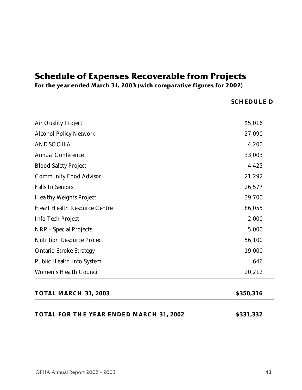### **Schedule of Expenses Recoverable from Projects**

**For the year ended March 31, 2003 (with comparative figures for 2002)**

**SCHEDULE D**

| Air Quality Project                 | \$5,016 |
|-------------------------------------|---------|
| <b>Alcohol Policy Network</b>       | 27,090  |
|                                     |         |
| <b>ANDSOOHA</b>                     | 4,200   |
| <b>Annual Conference</b>            | 33,003  |
| <b>Blood Safety Project</b>         | 4,425   |
| <b>Community Food Advisor</b>       | 21,292  |
| <b>Falls In Seniors</b>             | 26,577  |
| <b>Healthy Weights Project</b>      | 39,700  |
| <b>Heart Health Resource Centre</b> | 86,055  |
| Info Tech Project                   | 2,000   |
| <b>NRP</b> - Special Projects       | 5,000   |
| <b>Nutrition Resource Project</b>   | 56,100  |
| <b>Ontario Stroke Strategy</b>      | 19,000  |
| Public Health Info System           | 646     |
| Women's Health Council              | 20,212  |
|                                     |         |

### **TOTAL MARCH 31, 2003** \$350,316

### **TOTAL FOR THE YEAR ENDED MARCH 31, 2002 \$331,332**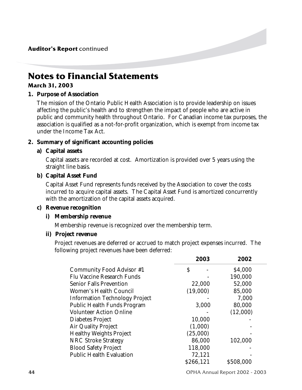**Auditor's Report** continued

### **Notes to Financial Statements**

### **March 31, 2003**

### **1. Purpose of Association**

The mission of the Ontario Public Health Association is to provide leadership on issues affecting the public's health and to strengthen the impact of people who are active in public and community health throughout Ontario. For Canadian income tax purposes, the association is qualified as a not-for-profit organization, which is exempt from income tax under the Income Tax Act.

### **2. Summary of significant accounting policies**

### **a) Capital assets**

Capital assets are recorded at cost. Amortization is provided over 5 years using the straight line basis.

### **b) Capital Asset Fund**

Capital Asset Fund represents funds received by the Association to cover the costs incurred to acquire capital assets. The Capital Asset Fund is amortized concurrently with the amortization of the capital assets acquired.

### **c) Revenue recognition**

### **i) Membership revenue**

Membership revenue is recognized over the membership term.

### **ii) Project revenue**

Project revenues are deferred or accrued to match project expenses incurred. The following project revenues have been deferred:

|                                       | 2003      | 2002      |  |
|---------------------------------------|-----------|-----------|--|
| Community Food Advisor #1             | \$        | \$4,000   |  |
| <b>Flu Vaccine Research Funds</b>     |           | 190,000   |  |
| <b>Senior Falls Prevention</b>        | 22,000    | 52,000    |  |
| Women's Health Council                | (19,000)  | 85,000    |  |
| <b>Information Technology Project</b> |           | 7.000     |  |
| Public Health Funds Program           | 3,000     | 80,000    |  |
| <b>Volunteer Action Online</b>        |           | (12,000)  |  |
| Diabetes Project                      | 10,000    |           |  |
| Air Quality Project                   | (1,000)   |           |  |
| <b>Healthy Weights Project</b>        | (25,000)  |           |  |
| <b>NRC Stroke Strategy</b>            | 86,000    | 102,000   |  |
| <b>Blood Safety Project</b>           | 118,000   |           |  |
| <b>Public Health Evaluation</b>       | 72,121    |           |  |
|                                       | \$266,121 | \$508,000 |  |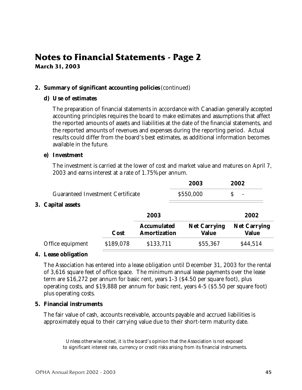### **Notes to Financial Statements - Page 2 March 31, 2003**

### **2. Summary of significant accounting policies** (continued)

### **d) Use of estimates**

The preparation of financial statements in accordance with Canadian generally accepted accounting principles requires the board to make estimates and assumptions that affect the reported amounts of assets and liabilities at the date of the financial statements, and the reported amounts of revenues and expenses during the reporting period. Actual results could differ from the board's best estimates, as additional information becomes available in the future.

### **e) Investment**

The investment is carried at the lower of cost and market value and matures on April 7, 2003 and earns interest at a rate of 1.75% per annum.

|                                          |           |                                           | 2003                                | 2002                                |
|------------------------------------------|-----------|-------------------------------------------|-------------------------------------|-------------------------------------|
| <b>Guaranteed Investment Certificate</b> |           | \$550,000                                 |                                     | $\overline{\phantom{a}}$            |
| 3. Capital assets                        |           |                                           |                                     |                                     |
|                                          |           | 2003                                      |                                     | 2002                                |
|                                          | Cost      | <b>Accumulated</b><br><b>Amortization</b> | <b>Net Carrying</b><br><b>Value</b> | <b>Net Carrying</b><br><b>Value</b> |
| Office equipment                         | \$189,078 | \$133,711                                 | \$55,367                            | \$44,514                            |

### **4. Lease obligation**

The Association has entered into a lease obligation until December 31, 2003 for the rental of 3,616 square feet of office space. The minimum annual lease payments over the lease term are \$16,272 per annum for basic rent, years 1-3 (\$4.50 per square foot), plus operating costs, and \$19,888 per annum for basic rent, years 4-5 (\$5.50 per square foot) plus operating costs.

### **5. Financial instruments**

The fair value of cash, accounts receivable, accounts payable and accrued liabilities is approximately equal to their carrying value due to their short-term maturity date.

Unless otherwise noted, it is the board's opinion that the Association is not exposed to significant interest rate, currency or credit risks arising from its financial instruments.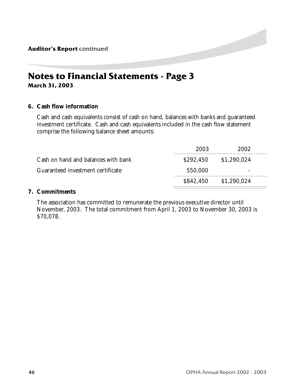### **Notes to Financial Statements - Page 3 March 31, 2003**

### **6. Cash flow information**

Cash and cash equivalents consist of cash on hand, balances with banks and guaranteed investment certificate. Cash and cash equivalents included in the cash flow statement comprise the following balance sheet amounts:

|                                     | 2003      | 2002        |  |
|-------------------------------------|-----------|-------------|--|
| Cash on hand and balances with bank | \$292,450 | \$1,290,024 |  |
| Guaranteed investment certificate   | 550,000   | -           |  |
|                                     | \$842,450 | \$1,290,024 |  |
|                                     |           |             |  |

### **7. Commitments**

The association has committed to remunerate the previous executive director until November, 2003. The total commitment from April 1, 2003 to November 30, 2003 is \$70,078.